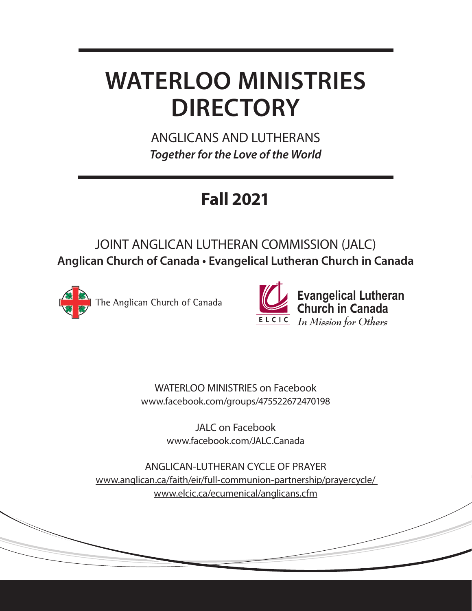# **WATERLOO MINISTRIES DIRECTORY**

ANGLICANS AND LUTHERANS *Together for the Love of the World*

# **Fall 2021**

# JOINT ANGLICAN LUTHERAN COMMISSION (JALC) **Anglican Church of Canada • Evangelical Lutheran Church in Canada**





WATERLOO MINISTRIES on Facebook www.facebook.com/groups/475522672470198

> JALC on Facebook www.facebook.com/JALC.Canada

ANGLICAN-LUTHERAN CYCLE OF PRAYER www.anglican.ca/faith/eir/full-communion-partnership/prayercycle/ www.elcic.ca/ecumenical/anglicans.cfm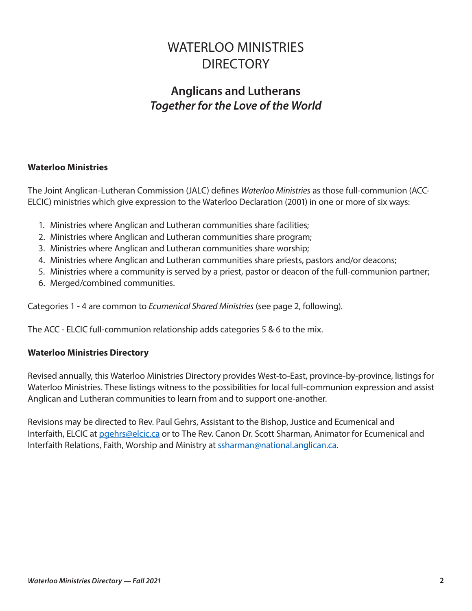# WATERI OO MINISTRIES **DIRECTORY**

# **Anglicans and Lutherans** *Together for the Love of the World*

# **Waterloo Ministries**

The Joint Anglican-Lutheran Commission (JALC) defines *Waterloo Ministries* as those full-communion (ACC-ELCIC) ministries which give expression to the Waterloo Declaration (2001) in one or more of six ways:

- 1. Ministries where Anglican and Lutheran communities share facilities;
- 2. Ministries where Anglican and Lutheran communities share program;
- 3. Ministries where Anglican and Lutheran communities share worship;
- 4. Ministries where Anglican and Lutheran communities share priests, pastors and/or deacons;
- 5. Ministries where a community is served by a priest, pastor or deacon of the full-communion partner;
- 6. Merged/combined communities.

Categories 1 - 4 are common to *Ecumenical Shared Ministries* (see page 2, following).

The ACC - ELCIC full-communion relationship adds categories 5 & 6 to the mix.

### **Waterloo Ministries Directory**

Revised annually, this Waterloo Ministries Directory provides West-to-East, province-by-province, listings for Waterloo Ministries. These listings witness to the possibilities for local full-communion expression and assist Anglican and Lutheran communities to learn from and to support one-another.

Revisions may be directed to Rev. Paul Gehrs, Assistant to the Bishop, Justice and Ecumenical and Interfaith, ELCIC at [pgehrs@elcic.ca](mailto:pgehrs@elcic.ca) or to The Rev. Canon Dr. Scott Sharman, Animator for Ecumenical and Interfaith Relations, Faith, Worship and Ministry at [ssharman@national.anglican.ca.](mailto:ssharman@national.anglican.ca)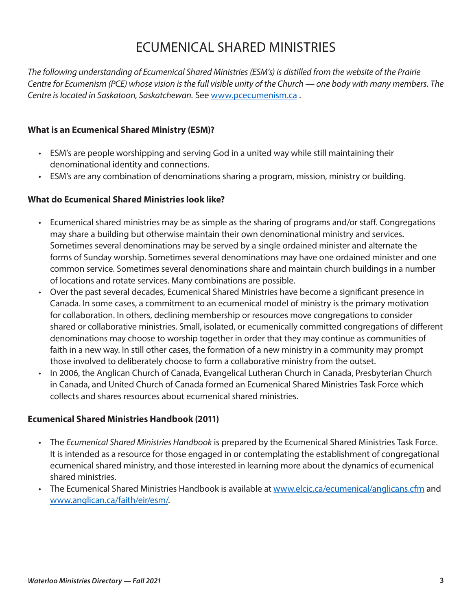# ECUMENICAL SHARED MINISTRIES

*The following understanding of Ecumenical Shared Ministries (ESM's) is distilled from the website of the Prairie Centre for Ecumenism (PCE) whose vision is the full visible unity of the Church — one body with many members. The Centre is located in Saskatoon, Saskatchewan.* See [www.pcecumenism.ca](http://www.pcecumenism.ca) .

### **What is an Ecumenical Shared Ministry (ESM)?**

- ESM's are people worshipping and serving God in a united way while still maintaining their denominational identity and connections.
- ESM's are any combination of denominations sharing a program, mission, ministry or building.

#### **What do Ecumenical Shared Ministries look like?**

- Ecumenical shared ministries may be as simple as the sharing of programs and/or staff. Congregations may share a building but otherwise maintain their own denominational ministry and services. Sometimes several denominations may be served by a single ordained minister and alternate the forms of Sunday worship. Sometimes several denominations may have one ordained minister and one common service. Sometimes several denominations share and maintain church buildings in a number of locations and rotate services. Many combinations are possible.
- Over the past several decades, Ecumenical Shared Ministries have become a significant presence in Canada. In some cases, a commitment to an ecumenical model of ministry is the primary motivation for collaboration. In others, declining membership or resources move congregations to consider shared or collaborative ministries. Small, isolated, or ecumenically committed congregations of different denominations may choose to worship together in order that they may continue as communities of faith in a new way. In still other cases, the formation of a new ministry in a community may prompt those involved to deliberately choose to form a collaborative ministry from the outset.
- In 2006, the Anglican Church of Canada, Evangelical Lutheran Church in Canada, Presbyterian Church in Canada, and United Church of Canada formed an Ecumenical Shared Ministries Task Force which collects and shares resources about ecumenical shared ministries.

#### **Ecumenical Shared Ministries Handbook (2011)**

- The *Ecumenical Shared Ministries Handbook* is prepared by the Ecumenical Shared Ministries Task Force. It is intended as a resource for those engaged in or contemplating the establishment of congregational ecumenical shared ministry, and those interested in learning more about the dynamics of ecumenical shared ministries.
- The Ecumenical Shared Ministries Handbook is available at [www.elcic.ca/ecumenical/anglicans.cfm](http://www.elcic.ca/ecumenical/anglicans.cfm) and [www.anglican.ca/faith/eir/esm/](http://www.anglican.ca/faith/eir/esm/).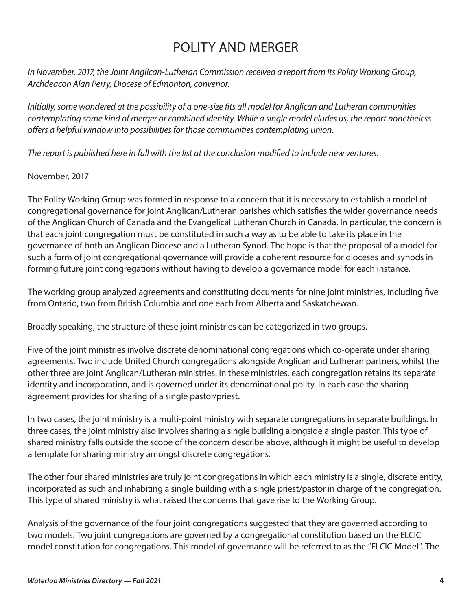# POLITY AND MERGER

*In November, 2017, the Joint Anglican-Lutheran Commission received a report from its Polity Working Group, Archdeacon Alan Perry, Diocese of Edmonton, convenor.* 

*Initially, some wondered at the possibility of a one-size fits all model for Anglican and Lutheran communities contemplating some kind of merger or combined identity. While a single model eludes us, the report nonetheless offers a helpful window into possibilities for those communities contemplating union.* 

*The report is published here in full with the list at the conclusion modified to include new ventures.* 

# November, 2017

The Polity Working Group was formed in response to a concern that it is necessary to establish a model of congregational governance for joint Anglican/Lutheran parishes which satisfies the wider governance needs of the Anglican Church of Canada and the Evangelical Lutheran Church in Canada. In particular, the concern is that each joint congregation must be constituted in such a way as to be able to take its place in the governance of both an Anglican Diocese and a Lutheran Synod. The hope is that the proposal of a model for such a form of joint congregational governance will provide a coherent resource for dioceses and synods in forming future joint congregations without having to develop a governance model for each instance.

The working group analyzed agreements and constituting documents for nine joint ministries, including five from Ontario, two from British Columbia and one each from Alberta and Saskatchewan.

Broadly speaking, the structure of these joint ministries can be categorized in two groups.

Five of the joint ministries involve discrete denominational congregations which co-operate under sharing agreements. Two include United Church congregations alongside Anglican and Lutheran partners, whilst the other three are joint Anglican/Lutheran ministries. In these ministries, each congregation retains its separate identity and incorporation, and is governed under its denominational polity. In each case the sharing agreement provides for sharing of a single pastor/priest.

In two cases, the joint ministry is a multi-point ministry with separate congregations in separate buildings. In three cases, the joint ministry also involves sharing a single building alongside a single pastor. This type of shared ministry falls outside the scope of the concern describe above, although it might be useful to develop a template for sharing ministry amongst discrete congregations.

The other four shared ministries are truly joint congregations in which each ministry is a single, discrete entity, incorporated as such and inhabiting a single building with a single priest/pastor in charge of the congregation. This type of shared ministry is what raised the concerns that gave rise to the Working Group.

Analysis of the governance of the four joint congregations suggested that they are governed according to two models. Two joint congregations are governed by a congregational constitution based on the ELCIC model constitution for congregations. This model of governance will be referred to as the "ELCIC Model". The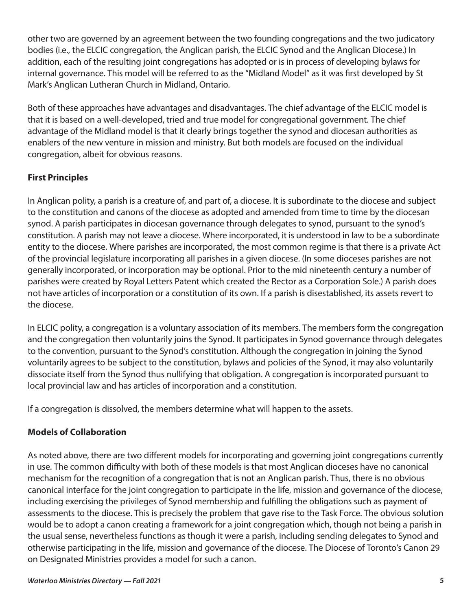other two are governed by an agreement between the two founding congregations and the two judicatory bodies (i.e., the ELCIC congregation, the Anglican parish, the ELCIC Synod and the Anglican Diocese.) In addition, each of the resulting joint congregations has adopted or is in process of developing bylaws for internal governance. This model will be referred to as the "Midland Model" as it was first developed by St Mark's Anglican Lutheran Church in Midland, Ontario.

Both of these approaches have advantages and disadvantages. The chief advantage of the ELCIC model is that it is based on a well-developed, tried and true model for congregational government. The chief advantage of the Midland model is that it clearly brings together the synod and diocesan authorities as enablers of the new venture in mission and ministry. But both models are focused on the individual congregation, albeit for obvious reasons.

# **First Principles**

In Anglican polity, a parish is a creature of, and part of, a diocese. It is subordinate to the diocese and subject to the constitution and canons of the diocese as adopted and amended from time to time by the diocesan synod. A parish participates in diocesan governance through delegates to synod, pursuant to the synod's constitution. A parish may not leave a diocese. Where incorporated, it is understood in law to be a subordinate entity to the diocese. Where parishes are incorporated, the most common regime is that there is a private Act of the provincial legislature incorporating all parishes in a given diocese. (In some dioceses parishes are not generally incorporated, or incorporation may be optional. Prior to the mid nineteenth century a number of parishes were created by Royal Letters Patent which created the Rector as a Corporation Sole.) A parish does not have articles of incorporation or a constitution of its own. If a parish is disestablished, its assets revert to the diocese.

In ELCIC polity, a congregation is a voluntary association of its members. The members form the congregation and the congregation then voluntarily joins the Synod. It participates in Synod governance through delegates to the convention, pursuant to the Synod's constitution. Although the congregation in joining the Synod voluntarily agrees to be subject to the constitution, bylaws and policies of the Synod, it may also voluntarily dissociate itself from the Synod thus nullifying that obligation. A congregation is incorporated pursuant to local provincial law and has articles of incorporation and a constitution.

If a congregation is dissolved, the members determine what will happen to the assets.

# **Models of Collaboration**

As noted above, there are two different models for incorporating and governing joint congregations currently in use. The common difficulty with both of these models is that most Anglican dioceses have no canonical mechanism for the recognition of a congregation that is not an Anglican parish. Thus, there is no obvious canonical interface for the joint congregation to participate in the life, mission and governance of the diocese, including exercising the privileges of Synod membership and fulfilling the obligations such as payment of assessments to the diocese. This is precisely the problem that gave rise to the Task Force. The obvious solution would be to adopt a canon creating a framework for a joint congregation which, though not being a parish in the usual sense, nevertheless functions as though it were a parish, including sending delegates to Synod and otherwise participating in the life, mission and governance of the diocese. The Diocese of Toronto's Canon 29 on Designated Ministries provides a model for such a canon.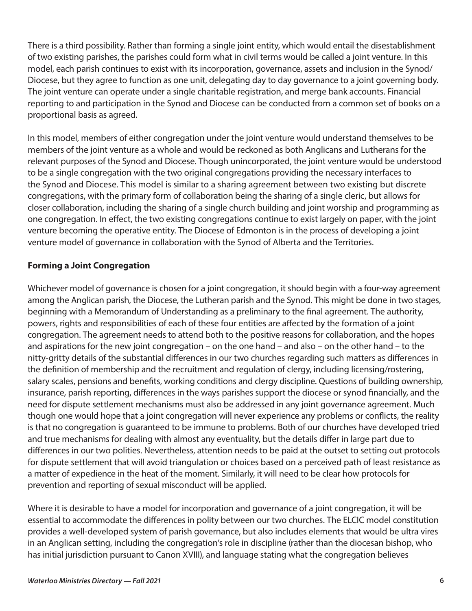There is a third possibility. Rather than forming a single joint entity, which would entail the disestablishment of two existing parishes, the parishes could form what in civil terms would be called a joint venture. In this model, each parish continues to exist with its incorporation, governance, assets and inclusion in the Synod/ Diocese, but they agree to function as one unit, delegating day to day governance to a joint governing body. The joint venture can operate under a single charitable registration, and merge bank accounts. Financial reporting to and participation in the Synod and Diocese can be conducted from a common set of books on a proportional basis as agreed.

In this model, members of either congregation under the joint venture would understand themselves to be members of the joint venture as a whole and would be reckoned as both Anglicans and Lutherans for the relevant purposes of the Synod and Diocese. Though unincorporated, the joint venture would be understood to be a single congregation with the two original congregations providing the necessary interfaces to the Synod and Diocese. This model is similar to a sharing agreement between two existing but discrete congregations, with the primary form of collaboration being the sharing of a single cleric, but allows for closer collaboration, including the sharing of a single church building and joint worship and programming as one congregation. In effect, the two existing congregations continue to exist largely on paper, with the joint venture becoming the operative entity. The Diocese of Edmonton is in the process of developing a joint venture model of governance in collaboration with the Synod of Alberta and the Territories.

# **Forming a Joint Congregation**

Whichever model of governance is chosen for a joint congregation, it should begin with a four-way agreement among the Anglican parish, the Diocese, the Lutheran parish and the Synod. This might be done in two stages, beginning with a Memorandum of Understanding as a preliminary to the final agreement. The authority, powers, rights and responsibilities of each of these four entities are affected by the formation of a joint congregation. The agreement needs to attend both to the positive reasons for collaboration, and the hopes and aspirations for the new joint congregation – on the one hand – and also – on the other hand – to the nitty-gritty details of the substantial differences in our two churches regarding such matters as differences in the definition of membership and the recruitment and regulation of clergy, including licensing/rostering, salary scales, pensions and benefits, working conditions and clergy discipline. Questions of building ownership, insurance, parish reporting, differences in the ways parishes support the diocese or synod financially, and the need for dispute settlement mechanisms must also be addressed in any joint governance agreement. Much though one would hope that a joint congregation will never experience any problems or conflicts, the reality is that no congregation is guaranteed to be immune to problems. Both of our churches have developed tried and true mechanisms for dealing with almost any eventuality, but the details differ in large part due to differences in our two polities. Nevertheless, attention needs to be paid at the outset to setting out protocols for dispute settlement that will avoid triangulation or choices based on a perceived path of least resistance as a matter of expedience in the heat of the moment. Similarly, it will need to be clear how protocols for prevention and reporting of sexual misconduct will be applied.

Where it is desirable to have a model for incorporation and governance of a joint congregation, it will be essential to accommodate the differences in polity between our two churches. The ELCIC model constitution provides a well-developed system of parish governance, but also includes elements that would be ultra vires in an Anglican setting, including the congregation's role in discipline (rather than the diocesan bishop, who has initial jurisdiction pursuant to Canon XVIII), and language stating what the congregation believes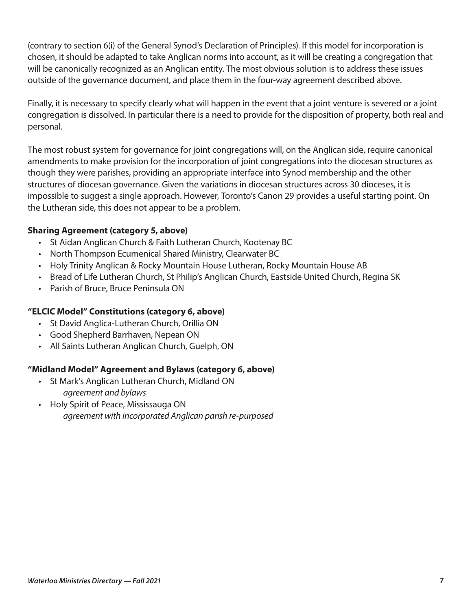(contrary to section 6(i) of the General Synod's Declaration of Principles). If this model for incorporation is chosen, it should be adapted to take Anglican norms into account, as it will be creating a congregation that will be canonically recognized as an Anglican entity. The most obvious solution is to address these issues outside of the governance document, and place them in the four-way agreement described above.

Finally, it is necessary to specify clearly what will happen in the event that a joint venture is severed or a joint congregation is dissolved. In particular there is a need to provide for the disposition of property, both real and personal.

The most robust system for governance for joint congregations will, on the Anglican side, require canonical amendments to make provision for the incorporation of joint congregations into the diocesan structures as though they were parishes, providing an appropriate interface into Synod membership and the other structures of diocesan governance. Given the variations in diocesan structures across 30 dioceses, it is impossible to suggest a single approach. However, Toronto's Canon 29 provides a useful starting point. On the Lutheran side, this does not appear to be a problem.

# **Sharing Agreement (category 5, above)**

- St Aidan Anglican Church & Faith Lutheran Church, Kootenay BC
- North Thompson Ecumenical Shared Ministry, Clearwater BC
- Holy Trinity Anglican & Rocky Mountain House Lutheran, Rocky Mountain House AB
- Bread of Life Lutheran Church, St Philip's Anglican Church, Eastside United Church, Regina SK
- Parish of Bruce, Bruce Peninsula ON

# **"ELCIC Model" Constitutions (category 6, above)**

- St David Anglica-Lutheran Church, Orillia ON
- Good Shepherd Barrhaven, Nepean ON
- All Saints Lutheran Anglican Church, Guelph, ON

### **"Midland Model" Agreement and Bylaws (category 6, above)**

- St Mark's Anglican Lutheran Church, Midland ON *agreement and bylaws*
- Holy Spirit of Peace, Mississauga ON *agreement with incorporated Anglican parish re-purposed*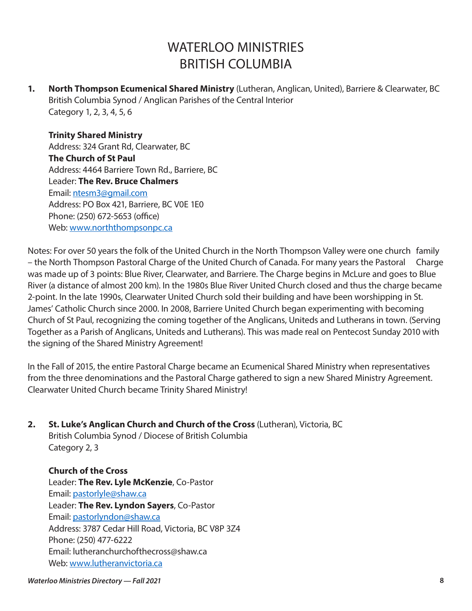# WATERI OO MINISTRIES BRITISH COLUMBIA

**1. North Thompson Ecumenical Shared Ministry** (Lutheran, Anglican, United), Barriere & Clearwater, BC British Columbia Synod / Anglican Parishes of the Central Interior Category 1, 2, 3, 4, 5, 6

**Trinity Shared Ministry**  Address: 324 Grant Rd, Clearwater, BC **The Church of St Paul**  Address: 4464 Barriere Town Rd., Barriere, BC Leader: **The Rev. Bruce Chalmers** Email: [ntesm3@gmail.com](mailto:ntesm3@gmail.com) Address: PO Box 421, Barriere, BC V0E 1E0 Phone: (250) 672-5653 (office) Web: [www.norththompsonpc.ca](http://www.norththompsonpc.ca) 

Notes: For over 50 years the folk of the United Church in the North Thompson Valley were one church family – the North Thompson Pastoral Charge of the United Church of Canada. For many years the Pastoral Charge was made up of 3 points: Blue River, Clearwater, and Barriere. The Charge begins in McLure and goes to Blue River (a distance of almost 200 km). In the 1980s Blue River United Church closed and thus the charge became 2-point. In the late 1990s, Clearwater United Church sold their building and have been worshipping in St. James' Catholic Church since 2000. In 2008, Barriere United Church began experimenting with becoming Church of St Paul, recognizing the coming together of the Anglicans, Uniteds and Lutherans in town. (Serving Together as a Parish of Anglicans, Uniteds and Lutherans). This was made real on Pentecost Sunday 2010 with the signing of the Shared Ministry Agreement!

In the Fall of 2015, the entire Pastoral Charge became an Ecumenical Shared Ministry when representatives from the three denominations and the Pastoral Charge gathered to sign a new Shared Ministry Agreement. Clearwater United Church became Trinity Shared Ministry!

**2. St. Luke's Anglican Church and Church of the Cross** (Lutheran), Victoria, BC British Columbia Synod / Diocese of British Columbia Category 2, 3

**Church of the Cross**  Leader: **The Rev. Lyle McKenzie**, Co-Pastor Email: [pastorlyle@shaw.ca](mailto:pastorlyle@shaw.ca) Leader: **The Rev. Lyndon Sayers**, Co-Pastor Email: [pastorlyndon@shaw.ca](mailto:pastorlyndon@shaw.ca)  Address: 3787 Cedar Hill Road, Victoria, BC V8P 3Z4 Phone: (250) 477-6222 Email: lutheranchurchofthecross@shaw.ca Web: [www.lutheranvictoria.ca](http://www.lutheranvictoria.ca)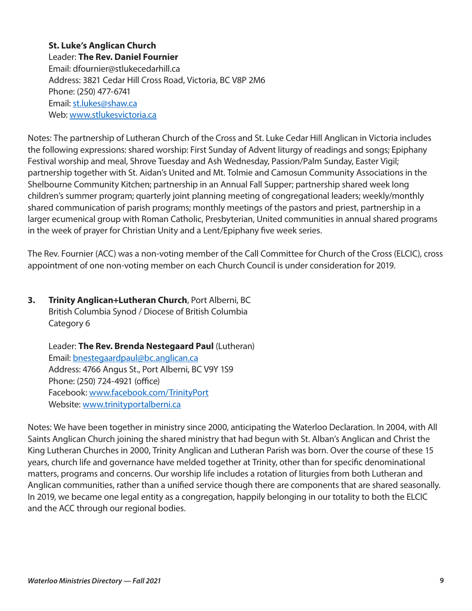**St. Luke's Anglican Church**  Leader: **The Rev. Daniel Fournier** Email: dfournier@stlukecedarhill.ca Address: 3821 Cedar Hill Cross Road, Victoria, BC V8P 2M6 Phone: (250) 477-6741 Email: [st.lukes@shaw.ca](mailto:st.lukes@shaw.ca) Web: [www.stlukesvictoria.ca](http://www.stlukesvictoria.ca)

Notes: The partnership of Lutheran Church of the Cross and St. Luke Cedar Hill Anglican in Victoria includes the following expressions: shared worship: First Sunday of Advent liturgy of readings and songs; Epiphany Festival worship and meal, Shrove Tuesday and Ash Wednesday, Passion/Palm Sunday, Easter Vigil; partnership together with St. Aidan's United and Mt. Tolmie and Camosun Community Associations in the Shelbourne Community Kitchen; partnership in an Annual Fall Supper; partnership shared week long children's summer program; quarterly joint planning meeting of congregational leaders; weekly/monthly shared communication of parish programs; monthly meetings of the pastors and priest, partnership in a larger ecumenical group with Roman Catholic, Presbyterian, United communities in annual shared programs in the week of prayer for Christian Unity and a Lent/Epiphany five week series.

The Rev. Fournier (ACC) was a non-voting member of the Call Committee for Church of the Cross (ELCIC), cross appointment of one non-voting member on each Church Council is under consideration for 2019.

# **3. Trinity Anglican+Lutheran Church**, Port Alberni, BC British Columbia Synod / Diocese of British Columbia Category 6

Leader: **The Rev. Brenda Nestegaard Paul** (Lutheran) Email: [bnestegaardpaul@bc.anglican.ca](mailto:bnestegaardpaul@bc.anglican.ca) Address: 4766 Angus St., Port Alberni, BC V9Y 1S9 Phone: (250) 724-4921 (office) Facebook: [www.facebook.com/TrinityPort](http://www.facebook.com/TrinityPort)  Website: [www.trinityportalberni.ca](http://www.trinityportalberni.ca) 

Notes: We have been together in ministry since 2000, anticipating the Waterloo Declaration. In 2004, with All Saints Anglican Church joining the shared ministry that had begun with St. Alban's Anglican and Christ the King Lutheran Churches in 2000, Trinity Anglican and Lutheran Parish was born. Over the course of these 15 years, church life and governance have melded together at Trinity, other than for specific denominational matters, programs and concerns. Our worship life includes a rotation of liturgies from both Lutheran and Anglican communities, rather than a unified service though there are components that are shared seasonally. In 2019, we became one legal entity as a congregation, happily belonging in our totality to both the ELCIC and the ACC through our regional bodies.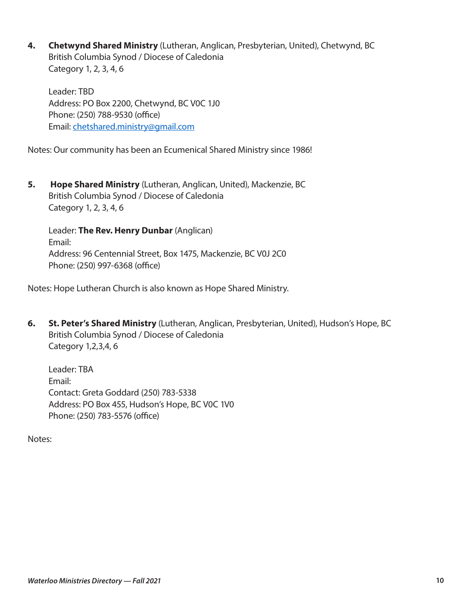**4. Chetwynd Shared Ministry** (Lutheran, Anglican, Presbyterian, United), Chetwynd, BC British Columbia Synod / Diocese of Caledonia Category 1, 2, 3, 4, 6

Leader: TBD Address: PO Box 2200, Chetwynd, BC V0C 1J0 Phone: (250) 788-9530 (office) Email: [chetshared.ministry@gmail.com](mailto:chetshared.ministry@gmail.com) 

Notes: Our community has been an Ecumenical Shared Ministry since 1986!

**5. Hope Shared Ministry** (Lutheran, Anglican, United), Mackenzie, BC British Columbia Synod / Diocese of Caledonia Category 1, 2, 3, 4, 6

Leader: **The Rev. Henry Dunbar** (Anglican) Email: Address: 96 Centennial Street, Box 1475, Mackenzie, BC V0J 2C0 Phone: (250) 997-6368 (office)

Notes: Hope Lutheran Church is also known as Hope Shared Ministry.

**6. St. Peter's Shared Ministry** (Lutheran, Anglican, Presbyterian, United), Hudson's Hope, BC British Columbia Synod / Diocese of Caledonia Category 1,2,3,4, 6

Leader: TBA Email: Contact: Greta Goddard (250) 783-5338 Address: PO Box 455, Hudson's Hope, BC V0C 1V0 Phone: (250) 783-5576 (office)

Notes: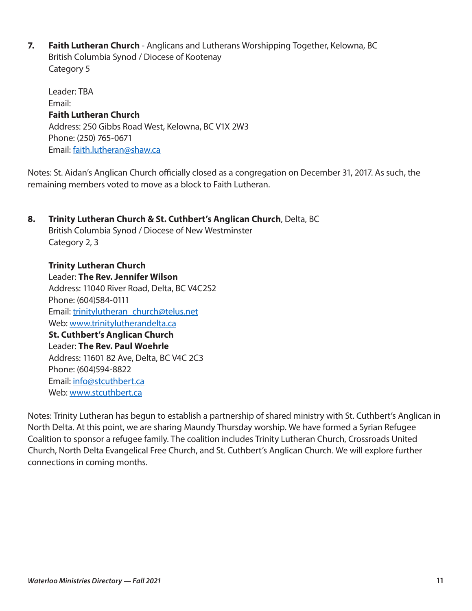**7. Faith Lutheran Church** - Anglicans and Lutherans Worshipping Together, Kelowna, BC British Columbia Synod / Diocese of Kootenay Category 5

Leader: TBA Email: **Faith Lutheran Church**  Address: 250 Gibbs Road West, Kelowna, BC V1X 2W3 Phone: (250) 765-0671 Email: [faith.lutheran@shaw.ca](mailto:faith.lutheran@shaw.ca)

Notes: St. Aidan's Anglican Church officially closed as a congregation on December 31, 2017. As such, the remaining members voted to move as a block to Faith Lutheran.

# **8. Trinity Lutheran Church & St. Cuthbert's Anglican Church**, Delta, BC British Columbia Synod / Diocese of New Westminster Category 2, 3 **Trinity Lutheran Church**

Leader: **The Rev. Jennifer Wilson**  Address: 11040 River Road, Delta, BC V4C2S2 Phone: (604)584-0111 Email: [trinitylutheran\\_church@telus.net](mailto:trinitylutheran_church@telus.net) Web: [www.trinitylutherandelta.ca](http://www.trinitylutherandelta.ca)  **St. Cuthbert's Anglican Church**  Leader: **The Rev. Paul Woehrle**  Address: 11601 82 Ave, Delta, BC V4C 2C3 Phone: (604)594-8822 Email: [info@stcuthbert.ca](mailto:info@stcuthbert.ca)  Web: [www.stcuthbert.ca](http://www.stcuthbert.ca)

Notes: Trinity Lutheran has begun to establish a partnership of shared ministry with St. Cuthbert's Anglican in North Delta. At this point, we are sharing Maundy Thursday worship. We have formed a Syrian Refugee Coalition to sponsor a refugee family. The coalition includes Trinity Lutheran Church, Crossroads United Church, North Delta Evangelical Free Church, and St. Cuthbert's Anglican Church. We will explore further connections in coming months.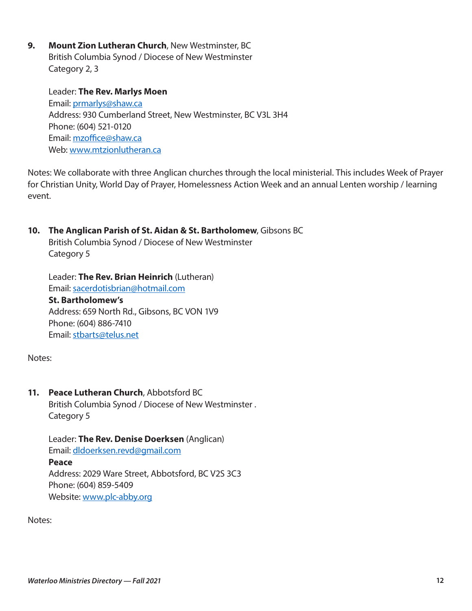**9. Mount Zion Lutheran Church**, New Westminster, BC British Columbia Synod / Diocese of New Westminster Category 2, 3

Leader: **The Rev. Marlys Moen** Email: [prmarlys@shaw.ca](mailto:prmarlys@shaw.ca)  Address: 930 Cumberland Street, New Westminster, BC V3L 3H4 Phone: (604) 521-0120 Email: [mzoffice@shaw.ca](mailto:mzoffice@shaw.ca) Web: [www.mtzionlutheran.ca](http://www.mtzionlutheran.ca)

Notes: We collaborate with three Anglican churches through the local ministerial. This includes Week of Prayer for Christian Unity, World Day of Prayer, Homelessness Action Week and an annual Lenten worship / learning event.

**10. The Anglican Parish of St. Aidan & St. Bartholomew**, Gibsons BC

British Columbia Synod / Diocese of New Westminster Category 5

Leader: **The Rev. Brian Heinrich** (Lutheran) Email: [sacerdotisbrian@hotmail.com](mailto:sacerdotisbrian@hotmail.com) **St. Bartholomew's**  Address: 659 North Rd., Gibsons, BC VON 1V9 Phone: (604) 886-7410 Email: [stbarts@telus.net](mailto:stbarts@telus.net)

Notes:

**11. Peace Lutheran Church**, Abbotsford BC

British Columbia Synod / Diocese of New Westminster . Category 5

Leader: **The Rev. Denise Doerksen** (Anglican) Email: [dldoerksen.revd@gmail.com](mailto:dldoerksen.revd@gmail.com)  **Peace**  Address: 2029 Ware Street, Abbotsford, BC V2S 3C3 Phone: (604) 859-5409

Website: [www.plc-abby.org](http://www.plc-abby.org) 

Notes: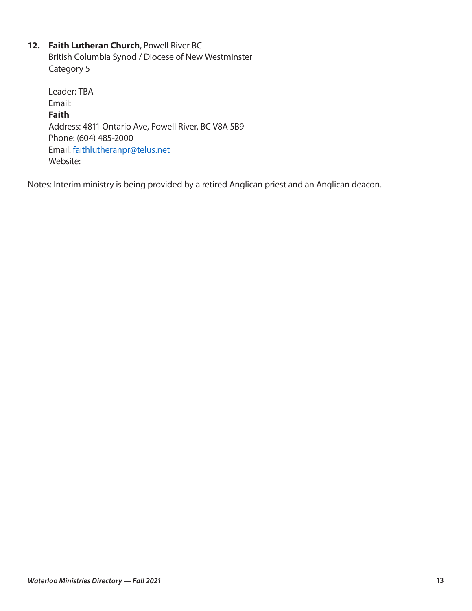# **12. Faith Lutheran Church**, Powell River BC

British Columbia Synod / Diocese of New Westminster Category 5

Leader: TBA Email: **Faith**  Address: 4811 Ontario Ave, Powell River, BC V8A 5B9 Phone: (604) 485-2000 Email: [faithlutheranpr@telus.net](mailto:faithlutheranpr@telus.net) Website:

Notes: Interim ministry is being provided by a retired Anglican priest and an Anglican deacon.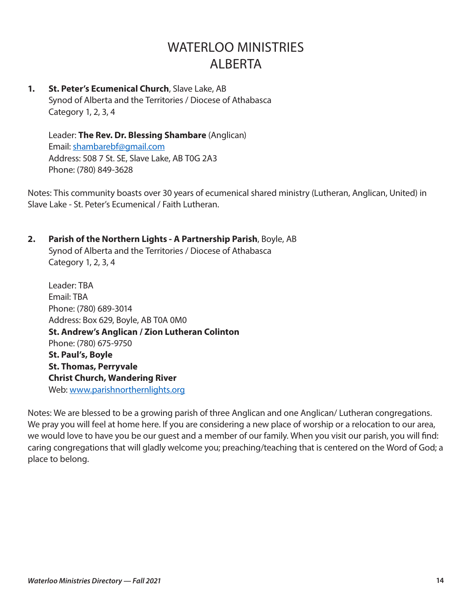# WATERI OO MINISTRIES ALBERTA

**1. St. Peter's Ecumenical Church**, Slave Lake, AB Synod of Alberta and the Territories / Diocese of Athabasca Category 1, 2, 3, 4

Leader: **The Rev. Dr. Blessing Shambare** (Anglican) Email: [shambarebf@gmail.com](mailto:shambarebf@gmail.com) Address: 508 7 St. SE, Slave Lake, AB T0G 2A3 Phone: (780) 849-3628

Notes: This community boasts over 30 years of ecumenical shared ministry (Lutheran, Anglican, United) in Slave Lake - St. Peter's Ecumenical / Faith Lutheran.

### **2. Parish of the Northern Lights - A Partnership Parish**, Boyle, AB

Synod of Alberta and the Territories / Diocese of Athabasca Category 1, 2, 3, 4

Leader: TBA Email: TBA Phone: (780) 689-3014 Address: Box 629, Boyle, AB T0A 0M0 **St. Andrew's Anglican / Zion Lutheran Colinton**  Phone: (780) 675-9750 **St. Paul's, Boyle St. Thomas, Perryvale Christ Church, Wandering River**  Web: [www.parishnorthernlights.org](http://www.parishnorthernlights.org)

Notes: We are blessed to be a growing parish of three Anglican and one Anglican/ Lutheran congregations. We pray you will feel at home here. If you are considering a new place of worship or a relocation to our area, we would love to have you be our guest and a member of our family. When you visit our parish, you will find: caring congregations that will gladly welcome you; preaching/teaching that is centered on the Word of God; a place to belong.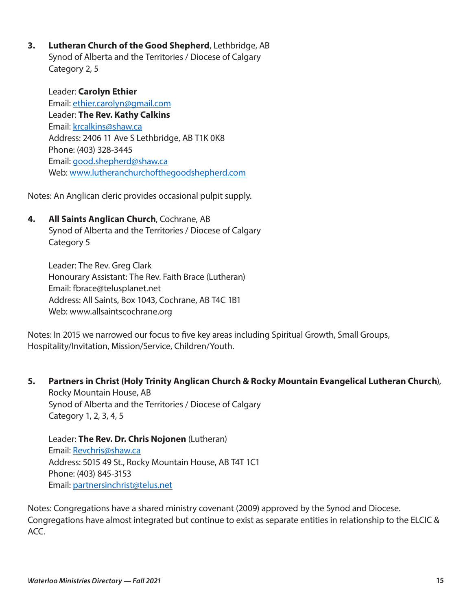**3. Lutheran Church of the Good Shepherd**, Lethbridge, AB Synod of Alberta and the Territories / Diocese of Calgary Category 2, 5

Leader: **Carolyn Ethier** Email: [ethier.carolyn@gmail.com](mailto:ethier.carolyn@gmail.com) Leader: **The Rev. Kathy Calkins** Email: [krcalkins@shaw.ca](mailto:krcalkins@shaw.ca)  Address: 2406 11 Ave S Lethbridge, AB T1K 0K8 Phone: (403) 328-3445 Email: [good.shepherd@shaw.ca](mailto:good.shepherd@shaw.ca)  Web: [www.lutheranchurchofthegoodshepherd.com](http://www.lutheranchurchofthegoodshepherd.com)

Notes: An Anglican cleric provides occasional pulpit supply.

**4. All Saints Anglican Church**, Cochrane, AB Synod of Alberta and the Territories / Diocese of Calgary Category 5

Leader: The Rev. Greg Clark Honourary Assistant: The Rev. Faith Brace (Lutheran) Email: fbrace@telusplanet.net Address: All Saints, Box 1043, Cochrane, AB T4C 1B1 Web: www.allsaintscochrane.org

Notes: In 2015 we narrowed our focus to five key areas including Spiritual Growth, Small Groups, Hospitality/Invitation, Mission/Service, Children/Youth.

**5. Partners in Christ (Holy Trinity Anglican Church & Rocky Mountain Evangelical Lutheran Church**), Rocky Mountain House, AB Synod of Alberta and the Territories / Diocese of Calgary Category 1, 2, 3, 4, 5

Leader: **The Rev. Dr. Chris Nojonen** (Lutheran) Email: [Revchris@shaw.ca](mailto:Revchris@shaw.ca)  Address: 5015 49 St., Rocky Mountain House, AB T4T 1C1 Phone: (403) 845-3153 Email: [partnersinchrist@telus.net](mailto:partnersinchrist@telus.net) 

Notes: Congregations have a shared ministry covenant (2009) approved by the Synod and Diocese. Congregations have almost integrated but continue to exist as separate entities in relationship to the ELCIC & ACC.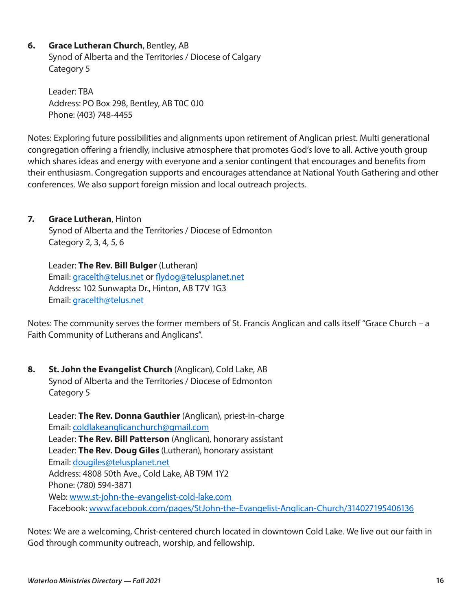# **6. Grace Lutheran Church**, Bentley, AB

Synod of Alberta and the Territories / Diocese of Calgary Category 5

Leader: TBA Address: PO Box 298, Bentley, AB T0C 0J0 Phone: (403) 748-4455

Notes: Exploring future possibilities and alignments upon retirement of Anglican priest. Multi generational congregation offering a friendly, inclusive atmosphere that promotes God's love to all. Active youth group which shares ideas and energy with everyone and a senior contingent that encourages and benefits from their enthusiasm. Congregation supports and encourages attendance at National Youth Gathering and other conferences. We also support foreign mission and local outreach projects.

### **7. Grace Lutheran**, Hinton

Synod of Alberta and the Territories / Diocese of Edmonton Category 2, 3, 4, 5, 6

Leader: **The Rev. Bill Bulger** (Lutheran) Email: [gracelth@telus.net](mailto:gracelth@telus.net) or [flydog@telusplanet.net](mailto:flydog@telusplanet.net)  Address: 102 Sunwapta Dr., Hinton, AB T7V 1G3 Email: [gracelth@telus.net](mailto:gracelth@telus.net) 

Notes: The community serves the former members of St. Francis Anglican and calls itself "Grace Church – a Faith Community of Lutherans and Anglicans".

**8. St. John the Evangelist Church** (Anglican), Cold Lake, AB Synod of Alberta and the Territories / Diocese of Edmonton Category 5

Leader: **The Rev. Donna Gauthier** (Anglican), priest-in-charge Email: [coldlakeanglicanchurch@gmail.com](mailto:coldlakeanglicanchurch@gmail.com) Leader: **The Rev. Bill Patterson** (Anglican), honorary assistant Leader: **The Rev. Doug Giles** (Lutheran), honorary assistant Email: [dougiles@telusplanet.net](mailto:dougiles@telusplanet.net)  Address: 4808 50th Ave., Cold Lake, AB T9M 1Y2 Phone: (780) 594-3871 Web: [www.st-john-the-evangelist-cold-lake.com](http://www.st-john-the-evangelist-cold-lake.com)  Facebook: [www.facebook.com/pages/StJohn-the-Evangelist-Anglican-Church/314027195406136](http://www.facebook.com/pages/StJohn-the-Evangelist-Anglican-Church/314027195406136)

Notes: We are a welcoming, Christ-centered church located in downtown Cold Lake. We live out our faith in God through community outreach, worship, and fellowship.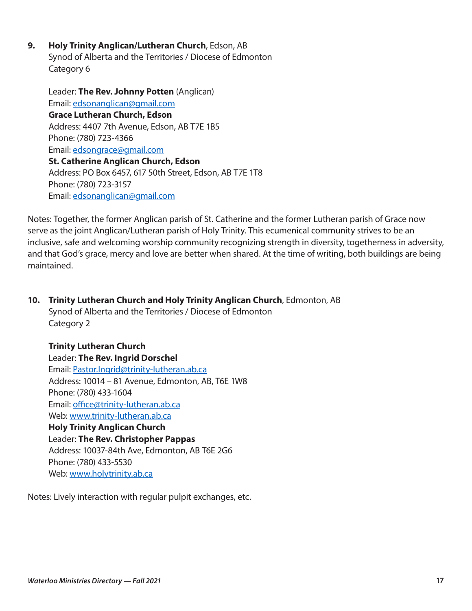**9. Holy Trinity Anglican/Lutheran Church**, Edson, AB Synod of Alberta and the Territories / Diocese of Edmonton Category 6

Leader: **The Rev. Johnny Potten** (Anglican) Email: [edsonanglican@gmail.com](mailto:edsonanglican@gmail.com) **Grace Lutheran Church, Edson**  Address: 4407 7th Avenue, Edson, AB T7E 1B5 Phone: (780) 723-4366 Email: [edsongrace@gmail.com](mailto:edsongrace@gmail.com)  **St. Catherine Anglican Church, Edson**  Address: PO Box 6457, 617 50th Street, Edson, AB T7E 1T8 Phone: (780) 723-3157 Email: [edsonanglican@gmail.com](mailto:edsonanglican@gmail.com)

Notes: Together, the former Anglican parish of St. Catherine and the former Lutheran parish of Grace now serve as the joint Anglican/Lutheran parish of Holy Trinity. This ecumenical community strives to be an inclusive, safe and welcoming worship community recognizing strength in diversity, togetherness in adversity, and that God's grace, mercy and love are better when shared. At the time of writing, both buildings are being maintained.

**10. Trinity Lutheran Church and Holy Trinity Anglican Church**, Edmonton, AB Synod of Alberta and the Territories / Diocese of Edmonton Category 2

**Trinity Lutheran Church**  Leader: **The Rev. Ingrid Dorschel** Email: [Pastor.Ingrid@trinity-lutheran.ab.ca](mailto:Pastor.Ingrid@trinity-lutheran.ab.ca) Address: 10014 – 81 Avenue, Edmonton, AB, T6E 1W8 Phone: (780) 433-1604 Email: [office@trinity-lutheran.ab.ca](mailto:office@trinity-lutheran.ab.ca) Web: [www.trinity-lutheran.ab.ca](http://www.trinity-lutheran.ab.ca) **Holy Trinity Anglican Church**  Leader: **The Rev. Christopher Pappas**  Address: 10037-84th Ave, Edmonton, AB T6E 2G6 Phone: (780) 433-5530

Notes: Lively interaction with regular pulpit exchanges, etc.

Web: [www.holytrinity.ab.ca](http://www.holytrinity.ab.ca)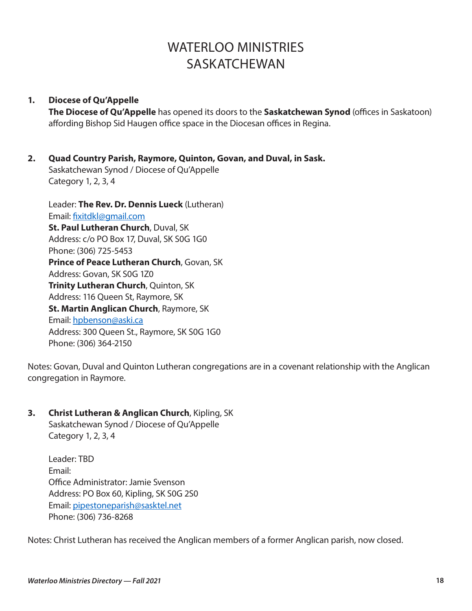# WATERI OO MINISTRIES **SASKATCHEWAN**

#### **1. Diocese of Qu'Appelle**

**The Diocese of Qu'Appelle** has opened its doors to the **Saskatchewan Synod** (offices in Saskatoon) affording Bishop Sid Haugen office space in the Diocesan offices in Regina.

# **2. Quad Country Parish, Raymore, Quinton, Govan, and Duval, in Sask.**

Saskatchewan Synod / Diocese of Qu'Appelle Category 1, 2, 3, 4

Leader: **The Rev. Dr. Dennis Lueck** (Lutheran) Email: [fixitdkl@gmail.com](mailto:fixitdkl@gmail.com) **St. Paul Lutheran Church**, Duval, SK Address: c/o PO Box 17, Duval, SK S0G 1G0 Phone: (306) 725-5453 **Prince of Peace Lutheran Church**, Govan, SK Address: Govan, SK S0G 1Z0 **Trinity Lutheran Church**, Quinton, SK Address: 116 Queen St, Raymore, SK **St. Martin Anglican Church**, Raymore, SK Email: [hpbenson@aski.ca](mailto:hpbenson@aski.ca)  Address: 300 Queen St., Raymore, SK S0G 1G0 Phone: (306) 364-2150

Notes: Govan, Duval and Quinton Lutheran congregations are in a covenant relationship with the Anglican congregation in Raymore.

### **3. Christ Lutheran & Anglican Church**, Kipling, SK

Saskatchewan Synod / Diocese of Qu'Appelle Category 1, 2, 3, 4

Leader: TBD Email: Office Administrator: Jamie Svenson Address: PO Box 60, Kipling, SK S0G 2S0 Email: [pipestoneparish@sasktel.net](mailto:pipestoneparish@sasktel.net)  Phone: (306) 736-8268

Notes: Christ Lutheran has received the Anglican members of a former Anglican parish, now closed.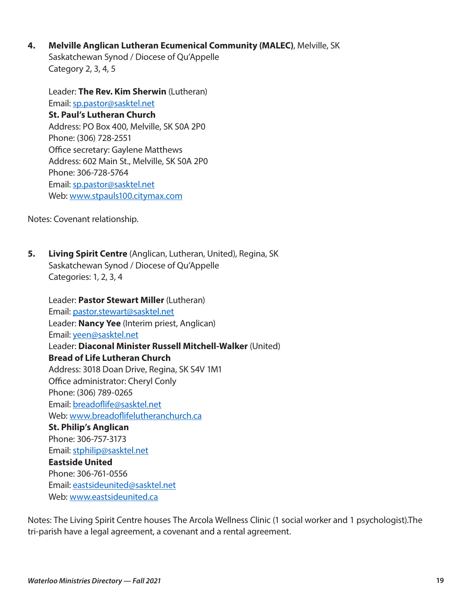**4. Melville Anglican Lutheran Ecumenical Community (MALEC)**, Melville, SK Saskatchewan Synod / Diocese of Qu'Appelle Category 2, 3, 4, 5

Leader: **The Rev. Kim Sherwin** (Lutheran) Email: [sp.pastor@sasktel.net](mailto:sp.pastor@sasktel.net) **St. Paul's Lutheran Church**  Address: PO Box 400, Melville, SK S0A 2P0 Phone: (306) 728-2551 Office secretary: Gaylene Matthews Address: 602 Main St., Melville, SK S0A 2P0 Phone: 306-728-5764 Email: [sp.pastor@sasktel.net](mailto:sp.pastor@sasktel.net)  Web: [www.stpauls100.citymax.com](http://www.stpauls100.citymax.com) 

Notes: Covenant relationship.

**5. Living Spirit Centre** (Anglican, Lutheran, United), Regina, SK Saskatchewan Synod / Diocese of Qu'Appelle Categories: 1, 2, 3, 4

Leader: **Pastor Stewart Miller** (Lutheran) Email: [pastor.stewart@sasktel.net](mailto:pastor.stewart@sasktel.net)  Leader: **Nancy Yee** (Interim priest, Anglican) Email: [yeen@sasktel.net](mailto:yeen@sasktel.net)  Leader: **Diaconal Minister Russell Mitchell-Walker** (United) **Bread of Life Lutheran Church**  Address: 3018 Doan Drive, Regina, SK S4V 1M1 Office administrator: Cheryl Conly Phone: (306) 789-0265 Email: [breadoflife@sasktel.net](mailto:breadoflife@sasktel.net) Web: [www.breadoflifelutheranchurch.ca](http://www.breadoflifelutheranchurch.ca)  **St. Philip's Anglican**  Phone: 306-757-3173 Email: [stphilip@sasktel.net](mailto:stphilip@sasktel.net) **Eastside United**  Phone: 306-761-0556 Email: [eastsideunited@sasktel.net](mailto:eastsideunited@sasktel.net) Web: [www.eastsideunited.ca](http://www.eastsideunited.ca)

Notes: The Living Spirit Centre houses The Arcola Wellness Clinic (1 social worker and 1 psychologist).The tri-parish have a legal agreement, a covenant and a rental agreement.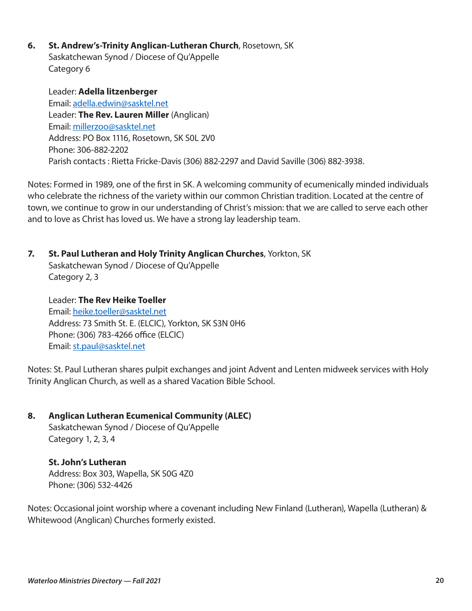**6. St. Andrew's-Trinity Anglican-Lutheran Church**, Rosetown, SK Saskatchewan Synod / Diocese of Qu'Appelle Category 6

Leader: **Adella litzenberger** Email: [adella.edwin@sasktel.net](mailto:adella.edwin@sasktel.net) Leader: **The Rev. Lauren Miller** (Anglican) Email: [millerzoo@sasktel.net](mailto:millerzoo@sasktel.net)  Address: PO Box 1116, Rosetown, SK S0L 2V0 Phone: 306-882-2202 Parish contacts : Rietta Fricke-Davis (306) 882-2297 and David Saville (306) 882-3938.

Notes: Formed in 1989, one of the first in SK. A welcoming community of ecumenically minded individuals who celebrate the richness of the variety within our common Christian tradition. Located at the centre of town, we continue to grow in our understanding of Christ's mission: that we are called to serve each other and to love as Christ has loved us. We have a strong lay leadership team.

**7. St. Paul Lutheran and Holy Trinity Anglican Churches**, Yorkton, SK Saskatchewan Synod / Diocese of Qu'Appelle Category 2, 3

Leader: **The Rev Heike Toeller** Email: [heike.toeller@sasktel.net](mailto:heike.toeller@sasktel.net)  Address: 73 Smith St. E. (ELCIC), Yorkton, SK S3N 0H6 Phone: (306) 783-4266 office (ELCIC) Email: [st.paul@sasktel.net](mailto:st.paul@sasktel.net) 

Notes: St. Paul Lutheran shares pulpit exchanges and joint Advent and Lenten midweek services with Holy Trinity Anglican Church, as well as a shared Vacation Bible School.

**8. Anglican Lutheran Ecumenical Community (ALEC)** 

Saskatchewan Synod / Diocese of Qu'Appelle Category 1, 2, 3, 4

**St. John's Lutheran**  Address: Box 303, Wapella, SK S0G 4Z0 Phone: (306) 532-4426

Notes: Occasional joint worship where a covenant including New Finland (Lutheran), Wapella (Lutheran) & Whitewood (Anglican) Churches formerly existed.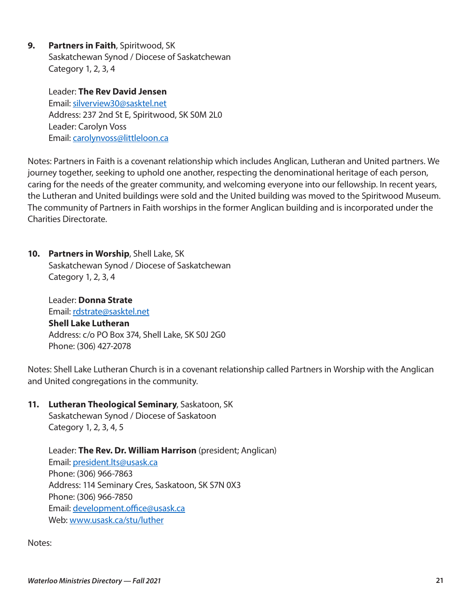**9. Partners in Faith**, Spiritwood, SK Saskatchewan Synod / Diocese of Saskatchewan Category 1, 2, 3, 4

> Leader: **The Rev David Jensen** Email: [silverview30@sasktel.net](mailto:silverview30@sasktel.net) Address: 237 2nd St E, Spiritwood, SK S0M 2L0 Leader: Carolyn Voss Email: [carolynvoss@littleloon.ca](mailto:carolynvoss@littleloon.ca)

Notes: Partners in Faith is a covenant relationship which includes Anglican, Lutheran and United partners. We journey together, seeking to uphold one another, respecting the denominational heritage of each person, caring for the needs of the greater community, and welcoming everyone into our fellowship. In recent years, the Lutheran and United buildings were sold and the United building was moved to the Spiritwood Museum. The community of Partners in Faith worships in the former Anglican building and is incorporated under the Charities Directorate.

**10. Partners in Worship**, Shell Lake, SK Saskatchewan Synod / Diocese of Saskatchewan Category 1, 2, 3, 4

Leader: **Donna Strate** Email: rdstrate@sasktel.net **Shell Lake Lutheran**  Address: c/o PO Box 374, Shell Lake, SK S0J 2G0 Phone: (306) 427-2078

Notes: Shell Lake Lutheran Church is in a covenant relationship called Partners in Worship with the Anglican and United congregations in the community.

**11. Lutheran Theological Seminary**, Saskatoon, SK

Saskatchewan Synod / Diocese of Saskatoon Category 1, 2, 3, 4, 5

Leader: **The Rev. Dr. William Harrison** (president; Anglican) Email: [president.lts@usask.ca](mailto:president.lts@usask.ca)  Phone: (306) 966-7863 Address: 114 Seminary Cres, Saskatoon, SK S7N 0X3 Phone: (306) 966-7850 Email: [development.office@usask.ca](mailto:development.office@usask.ca) Web: [www.usask.ca/stu/luther](http://www.usask.ca/stu/luther)

Notes: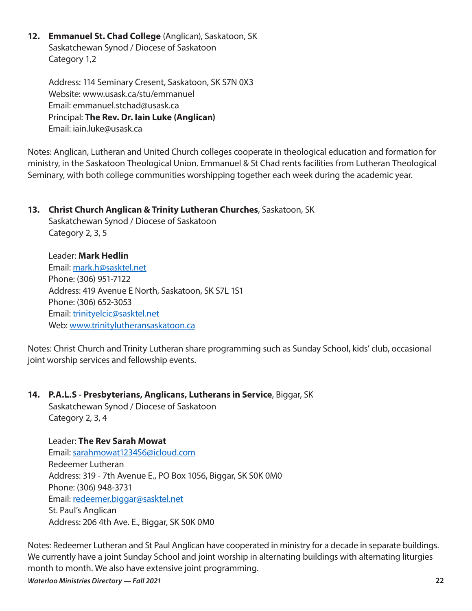**12. Emmanuel St. Chad College** (Anglican), Saskatoon, SK Saskatchewan Synod / Diocese of Saskatoon Category 1,2

Address: 114 Seminary Cresent, Saskatoon, SK S7N 0X3 Website: www.usask.ca/stu/emmanuel Email: emmanuel.stchad@usask.ca Principal: **The Rev. Dr. Iain Luke (Anglican)** Email: iain.luke@usask.ca

Notes: Anglican, Lutheran and United Church colleges cooperate in theological education and formation for ministry, in the Saskatoon Theological Union. Emmanuel & St Chad rents facilities from Lutheran Theological Seminary, with both college communities worshipping together each week during the academic year.

#### **13. Christ Church Anglican & Trinity Lutheran Churches**, Saskatoon, SK

Saskatchewan Synod / Diocese of Saskatoon Category 2, 3, 5

Leader: **Mark Hedlin**  Email: [mark.h@sasktel.net](mailto:mark.h@sasktel.net) Phone: (306) 951-7122 Address: 419 Avenue E North, Saskatoon, SK S7L 1S1 Phone: (306) 652-3053 Email: [trinityelcic@sasktel.net](mailto:trinityelcic@sasktel.net)  Web: [www.trinitylutheransaskatoon.ca](http://www.trinitylutheransaskatoon.ca)

Notes: Christ Church and Trinity Lutheran share programming such as Sunday School, kids' club, occasional joint worship services and fellowship events.

### **14. P.A.L.S - Presbyterians, Anglicans, Lutherans in Service**, Biggar, SK

Saskatchewan Synod / Diocese of Saskatoon Category 2, 3, 4

Leader: **The Rev Sarah Mowat** Email: [sarahmowat123456@icloud.com](mailto:sarahmowat123456@icloud.com)  Redeemer Lutheran Address: 319 - 7th Avenue E., PO Box 1056, Biggar, SK S0K 0M0 Phone: (306) 948-3731 Email: [redeemer.biggar@sasktel.net](mailto:redeemer.biggar@sasktel.net)  St. Paul's Anglican Address: 206 4th Ave. E., Biggar, SK S0K 0M0

Notes: Redeemer Lutheran and St Paul Anglican have cooperated in ministry for a decade in separate buildings. We currently have a joint Sunday School and joint worship in alternating buildings with alternating liturgies month to month. We also have extensive joint programming.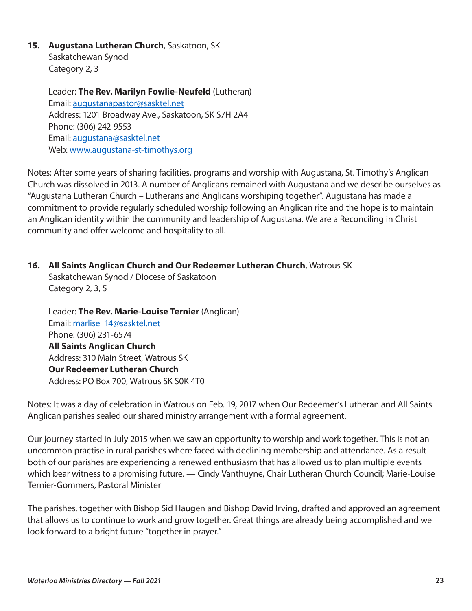# **15. Augustana Lutheran Church**, Saskatoon, SK

Saskatchewan Synod Category 2, 3

Leader: **The Rev. Marilyn Fowlie-Neufeld** (Lutheran) Email: [augustanapastor@sasktel.net](mailto:augustanapastor@sasktel.net)  Address: 1201 Broadway Ave., Saskatoon, SK S7H 2A4 Phone: (306) 242-9553 Email: [augustana@sasktel.net](mailto:augustana@sasktel.net)  Web: [www.augustana-st-timothys.org](http://www.augustana-st-timothys.org) 

Notes: After some years of sharing facilities, programs and worship with Augustana, St. Timothy's Anglican Church was dissolved in 2013. A number of Anglicans remained with Augustana and we describe ourselves as "Augustana Lutheran Church – Lutherans and Anglicans worshiping together". Augustana has made a commitment to provide regularly scheduled worship following an Anglican rite and the hope is to maintain an Anglican identity within the community and leadership of Augustana. We are a Reconciling in Christ community and offer welcome and hospitality to all.

# **16. All Saints Anglican Church and Our Redeemer Lutheran Church**, Watrous SK

Saskatchewan Synod / Diocese of Saskatoon Category 2, 3, 5

Leader: **The Rev. Marie-Louise Ternier** (Anglican) Email: [marlise\\_14@sasktel.net](mailto:marlise_14@sasktel.net)  Phone: (306) 231-6574 **All Saints Anglican Church**  Address: 310 Main Street, Watrous SK **Our Redeemer Lutheran Church**  Address: PO Box 700, Watrous SK S0K 4T0

Notes: It was a day of celebration in Watrous on Feb. 19, 2017 when Our Redeemer's Lutheran and All Saints Anglican parishes sealed our shared ministry arrangement with a formal agreement.

Our journey started in July 2015 when we saw an opportunity to worship and work together. This is not an uncommon practise in rural parishes where faced with declining membership and attendance. As a result both of our parishes are experiencing a renewed enthusiasm that has allowed us to plan multiple events which bear witness to a promising future. — Cindy Vanthuyne, Chair Lutheran Church Council; Marie-Louise Ternier-Gommers, Pastoral Minister

The parishes, together with Bishop Sid Haugen and Bishop David Irving, drafted and approved an agreement that allows us to continue to work and grow together. Great things are already being accomplished and we look forward to a bright future "together in prayer."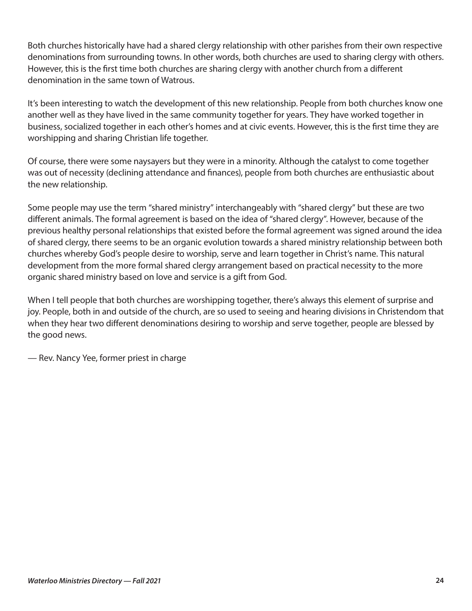Both churches historically have had a shared clergy relationship with other parishes from their own respective denominations from surrounding towns. In other words, both churches are used to sharing clergy with others. However, this is the first time both churches are sharing clergy with another church from a different denomination in the same town of Watrous.

It's been interesting to watch the development of this new relationship. People from both churches know one another well as they have lived in the same community together for years. They have worked together in business, socialized together in each other's homes and at civic events. However, this is the first time they are worshipping and sharing Christian life together.

Of course, there were some naysayers but they were in a minority. Although the catalyst to come together was out of necessity (declining attendance and finances), people from both churches are enthusiastic about the new relationship.

Some people may use the term "shared ministry" interchangeably with "shared clergy" but these are two different animals. The formal agreement is based on the idea of "shared clergy". However, because of the previous healthy personal relationships that existed before the formal agreement was signed around the idea of shared clergy, there seems to be an organic evolution towards a shared ministry relationship between both churches whereby God's people desire to worship, serve and learn together in Christ's name. This natural development from the more formal shared clergy arrangement based on practical necessity to the more organic shared ministry based on love and service is a gift from God.

When I tell people that both churches are worshipping together, there's always this element of surprise and joy. People, both in and outside of the church, are so used to seeing and hearing divisions in Christendom that when they hear two different denominations desiring to worship and serve together, people are blessed by the good news.

— Rev. Nancy Yee, former priest in charge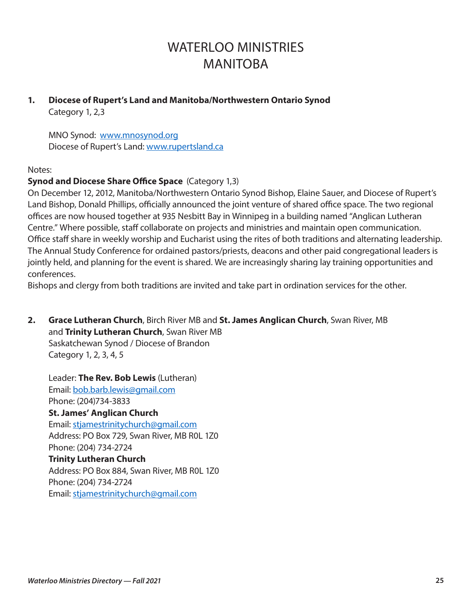# WATERI OO MINISTRIES MANITOBA

#### **1. Diocese of Rupert's Land and Manitoba/Northwestern Ontario Synod**  Category 1, 2,3

MNO Synod: [www.mnosynod.org](http://www.mnosynod.org) Diocese of Rupert's Land: [www.rupertsland.ca](http://www.rupertsland.ca)

# Notes:

# **Synod and Diocese Share Office Space** (Category 1,3)

On December 12, 2012, Manitoba/Northwestern Ontario Synod Bishop, Elaine Sauer, and Diocese of Rupert's Land Bishop, Donald Phillips, officially announced the joint venture of shared office space. The two regional offices are now housed together at 935 Nesbitt Bay in Winnipeg in a building named "Anglican Lutheran Centre." Where possible, staff collaborate on projects and ministries and maintain open communication. Office staff share in weekly worship and Eucharist using the rites of both traditions and alternating leadership. The Annual Study Conference for ordained pastors/priests, deacons and other paid congregational leaders is jointly held, and planning for the event is shared. We are increasingly sharing lay training opportunities and conferences.

Bishops and clergy from both traditions are invited and take part in ordination services for the other.

**2. Grace Lutheran Church**, Birch River MB and **St. James Anglican Church**, Swan River, MB and **Trinity Lutheran Church**, Swan River MB Saskatchewan Synod / Diocese of Brandon Category 1, 2, 3, 4, 5

Leader: **The Rev. Bob Lewis** (Lutheran) Email: [bob.barb.lewis@gmail.com](mailto:bob.barb.lewis@gmail.com)  Phone: (204)734-3833 **St. James' Anglican Church**  Email: [stjamestrinitychurch@gmail.com](mailto:stjamestrinitychurch@gmail.com)  Address: PO Box 729, Swan River, MB R0L 1Z0 Phone: (204) 734-2724 **Trinity Lutheran Church**  Address: PO Box 884, Swan River, MB R0L 1Z0 Phone: (204) 734-2724 Email: [stjamestrinitychurch@gmail.com](mailto:stjamestrinitychurch@gmail.com)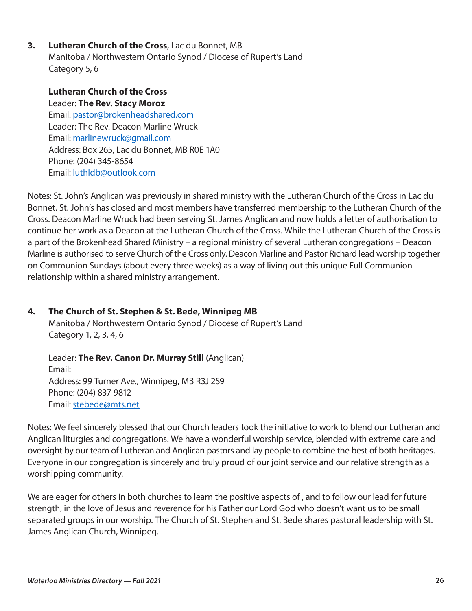**3. Lutheran Church of the Cross**, Lac du Bonnet, MB Manitoba / Northwestern Ontario Synod / Diocese of Rupert's Land Category 5, 6

**Lutheran Church of the Cross**  Leader: **The Rev. Stacy Moroz**  Email: [pastor@brokenheadshared.com](mailto:pastorrichardengel@gmail.com)  Leader: The Rev. Deacon Marline Wruck Email: [marlinewruck@gmail.com](mailto:marlinewruck@gmail.com) Address: Box 265, Lac du Bonnet, MB R0E 1A0 Phone: (204) 345-8654 Email: [luthldb@outlook.com](mailto:luthldb@outlook.com)

Notes: St. John's Anglican was previously in shared ministry with the Lutheran Church of the Cross in Lac du Bonnet. St. John's has closed and most members have transferred membership to the Lutheran Church of the Cross. Deacon Marline Wruck had been serving St. James Anglican and now holds a letter of authorisation to continue her work as a Deacon at the Lutheran Church of the Cross. While the Lutheran Church of the Cross is a part of the Brokenhead Shared Ministry – a regional ministry of several Lutheran congregations – Deacon Marline is authorised to serve Church of the Cross only. Deacon Marline and Pastor Richard lead worship together on Communion Sundays (about every three weeks) as a way of living out this unique Full Communion relationship within a shared ministry arrangement.

# **4. The Church of St. Stephen & St. Bede, Winnipeg MB**

Manitoba / Northwestern Ontario Synod / Diocese of Rupert's Land Category 1, 2, 3, 4, 6

Leader: **The Rev. Canon Dr. Murray Still** (Anglican) Email: Address: 99 Turner Ave., Winnipeg, MB R3J 2S9 Phone: (204) 837-9812 Email: [stebede@mts.net](mailto:stebede@mts.net) 

Notes: We feel sincerely blessed that our Church leaders took the initiative to work to blend our Lutheran and Anglican liturgies and congregations. We have a wonderful worship service, blended with extreme care and oversight by our team of Lutheran and Anglican pastors and lay people to combine the best of both heritages. Everyone in our congregation is sincerely and truly proud of our joint service and our relative strength as a worshipping community.

We are eager for others in both churches to learn the positive aspects of , and to follow our lead for future strength, in the love of Jesus and reverence for his Father our Lord God who doesn't want us to be small separated groups in our worship. The Church of St. Stephen and St. Bede shares pastoral leadership with St. James Anglican Church, Winnipeg.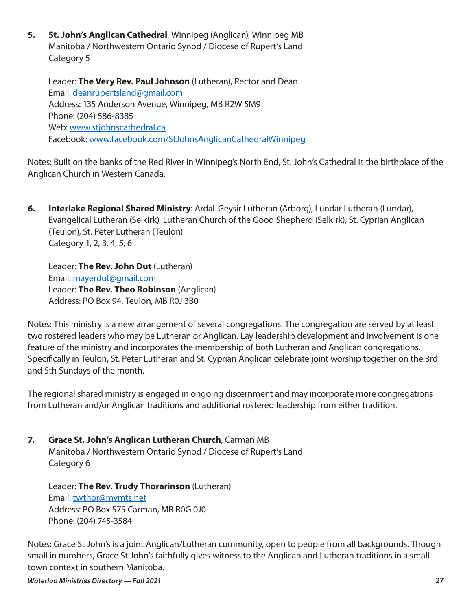**5. St. John's Anglican Cathedral**, Winnipeg (Anglican), Winnipeg MB Manitoba / Northwestern Ontario Synod / Diocese of Rupert's Land Category 5

Leader: **The Very Rev. Paul Johnson** (Lutheran), Rector and Dean Email: [deanrupertsland@gmail.com](mailto:deanrupertsland@gmail.com) Address: 135 Anderson Avenue, Winnipeg, MB R2W 5M9 Phone: (204) 586-8385 Web: [www.stjohnscathedral.ca](http://www.stjohnscathedral.ca)  Facebook: [www.facebook.com/StJohnsAnglicanCathedralWinnipeg](http://www.facebook.com/StJohnsAnglicanCathedralWinnipeg)

Notes: Built on the banks of the Red River in Winnipeg's North End, St. John's Cathedral is the birthplace of the Anglican Church in Western Canada.

**6. Interlake Regional Shared Ministry**: Ardal-Geysir Lutheran (Arborg), Lundar Lutheran (Lundar), Evangelical Lutheran (Selkirk), Lutheran Church of the Good Shepherd (Selkirk), St. Cyprian Anglican (Teulon), St. Peter Lutheran (Teulon) Category 1, 2, 3, 4, 5, 6

Leader: **The Rev. John Dut** (Lutheran) Email: [mayerdut@gmail.com](mailto:mayerdut@gmail.com) Leader: **The Rev. Theo Robinson** (Anglican) Address: PO Box 94, Teulon, MB R0J 3B0

Notes: This ministry is a new arrangement of several congregations. The congregation are served by at least two rostered leaders who may be Lutheran or Anglican. Lay leadership development and involvement is one feature of the ministry and incorporates the membership of both Lutheran and Anglican congregations. Specifically in Teulon, St. Peter Lutheran and St. Cyprian Anglican celebrate joint worship together on the 3rd and 5th Sundays of the month.

The regional shared ministry is engaged in ongoing discernment and may incorporate more congregations from Lutheran and/or Anglican traditions and additional rostered leadership from either tradition.

**7. Grace St. John's Anglican Lutheran Church**, Carman MB Manitoba / Northwestern Ontario Synod / Diocese of Rupert's Land Category 6

Leader: **The Rev. Trudy Thorarinson** (Lutheran) Email: [twthor@mymts.net](mailto:twthor@mymts.net) Address: PO Box 575 Carman, MB R0G 0J0 Phone: (204) 745-3584

Notes: Grace St John's is a joint Anglican/Lutheran community, open to people from all backgrounds. Though small in numbers, Grace St.John's faithfully gives witness to the Anglican and Lutheran traditions in a small town context in southern Manitoba.

*Waterloo Ministries Directory — Fall 2021* **27**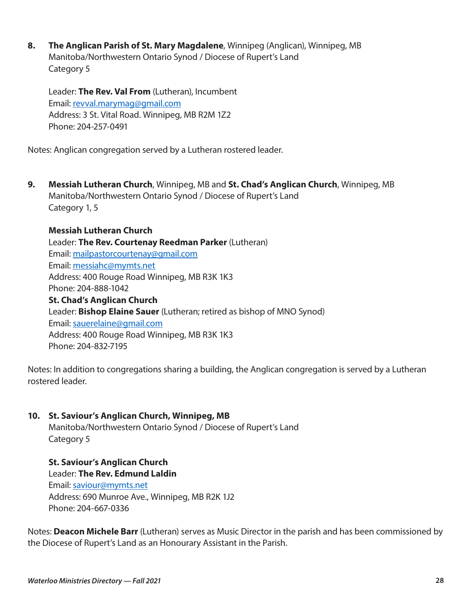**8. The Anglican Parish of St. Mary Magdalene**, Winnipeg (Anglican), Winnipeg, MB Manitoba/Northwestern Ontario Synod / Diocese of Rupert's Land Category 5

Leader: **The Rev. Val From** (Lutheran), Incumbent Email: [revval.marymag@gmail.com](mailto:revval.marymag@gmail.com) Address: 3 St. Vital Road. Winnipeg, MB R2M 1Z2 Phone: 204-257-0491

Notes: Anglican congregation served by a Lutheran rostered leader.

**9. Messiah Lutheran Church**, Winnipeg, MB and **St. Chad's Anglican Church**, Winnipeg, MB Manitoba/Northwestern Ontario Synod / Diocese of Rupert's Land Category 1, 5

**Messiah Lutheran Church**  Leader: **The Rev. Courtenay Reedman Parker** (Lutheran) Email: [mailpastorcourtenay@gmail.com](mailto:mailpastorcourtenay@gmail.com) Email: [messiahc@mymts.net](mailto:messiahc@mymts.net) Address: 400 Rouge Road Winnipeg, MB R3K 1K3 Phone: 204-888-1042 **St. Chad's Anglican Church**  Leader: **Bishop Elaine Sauer** (Lutheran; retired as bishop of MNO Synod) Email: [sauerelaine@gmail.com](mailto:sauerelaine@gmail.com) Address: 400 Rouge Road Winnipeg, MB R3K 1K3 Phone: 204-832-7195

Notes: In addition to congregations sharing a building, the Anglican congregation is served by a Lutheran rostered leader.

### **10. St. Saviour's Anglican Church, Winnipeg, MB**

Manitoba/Northwestern Ontario Synod / Diocese of Rupert's Land Category 5

**St. Saviour's Anglican Church**  Leader: **The Rev. Edmund Laldin**  Email: [saviour@mymts.net](mailto:saviour@mymts.net)  Address: 690 Munroe Ave., Winnipeg, MB R2K 1J2 Phone: 204-667-0336

Notes: **Deacon Michele Barr** (Lutheran) serves as Music Director in the parish and has been commissioned by the Diocese of Rupert's Land as an Honourary Assistant in the Parish.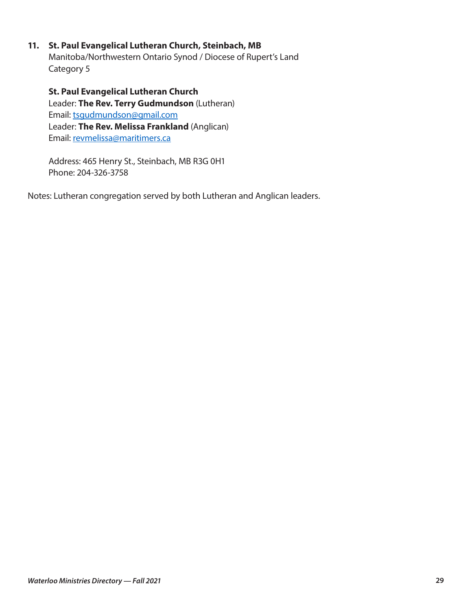#### **11. St. Paul Evangelical Lutheran Church, Steinbach, MB**

Manitoba/Northwestern Ontario Synod / Diocese of Rupert's Land Category 5

**St. Paul Evangelical Lutheran Church**  Leader: **The Rev. Terry Gudmundson** (Lutheran) Email: tsgudmundso[n@](mailto:saviour@mymts.net)gmail.com Leader: **The Rev. Melissa Frankland** (Anglican) Email: revmelissa@maritimers.ca

Address: 465 Henry St., Steinbach, MB R3G 0H1 Phone: 204-326-3758

Notes: Lutheran congregation served by both Lutheran and Anglican leaders.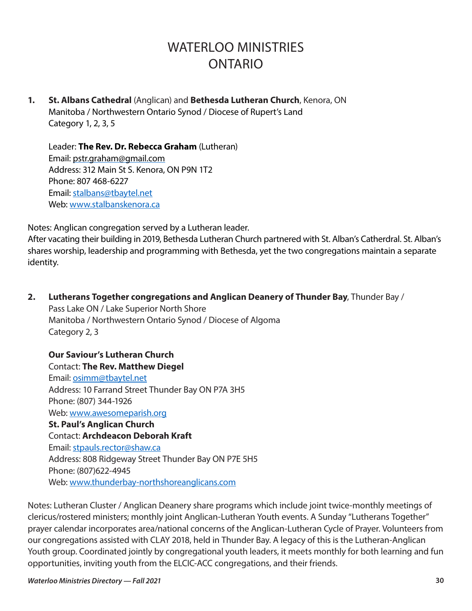# WATERI OO MINISTRIES ONTARIO

**1. St. Albans Cathedral** (Anglican) and **Bethesda Lutheran Church**, Kenora, ON Manitoba / Northwestern Ontario Synod / Diocese of Rupert's Land Category 1, 2, 3, 5

Leader: **The Rev. Dr. Rebecca Graham** (Lutheran) Email: [pstr.graham@gmail.com](mailto:pstr.graham@gmail.com) Address: 312 Main St S. Kenora, ON P9N 1T2 Phone: 807 468-6227 Email: [stalbans@tbaytel.net](mailto:stalbans@tbaytel.net) Web: [www.stalbanskenora.ca](http://www.stalbanskenora.ca) 

Notes: Anglican congregation served by a Lutheran leader.

After vacating their building in 2019, Bethesda Lutheran Church partnered with St. Alban's Catherdral. St. Alban's shares worship, leadership and programming with Bethesda, yet the two congregations maintain a separate identity.

**2. Lutherans Together congregations and Anglican Deanery of Thunder Bay**, Thunder Bay / Pass Lake ON / Lake Superior North Shore Manitoba / Northwestern Ontario Synod / Diocese of Algoma Category 2, 3

**Our Saviour's Lutheran Church**  Contact: **The Rev. Matthew Diegel**  Email: [osimm@tbaytel.net](mailto:osimm@tbaytel.net)  Address: 10 Farrand Street Thunder Bay ON P7A 3H5 Phone: (807) 344-1926 Web: [www.awesomeparish.org](http://www.awesomeparish.org) **St. Paul's Anglican Church**  Contact: **Archdeacon Deborah Kraft**  Email: [stpauls.rector@shaw.ca](mailto:stpauls.rector@shaw.ca)  Address: 808 Ridgeway Street Thunder Bay ON P7E 5H5 Phone: (807)622-4945 Web: [www.thunderbay-northshoreanglicans.com](http://www.thunderbay-northshoreanglicans.com)

Notes: Lutheran Cluster / Anglican Deanery share programs which include joint twice-monthly meetings of clericus/rostered ministers; monthly joint Anglican-Lutheran Youth events. A Sunday "Lutherans Together" prayer calendar incorporates area/national concerns of the Anglican-Lutheran Cycle of Prayer. Volunteers from our congregations assisted with CLAY 2018, held in Thunder Bay. A legacy of this is the Lutheran-Anglican Youth group. Coordinated jointly by congregational youth leaders, it meets monthly for both learning and fun opportunities, inviting youth from the ELCIC-ACC congregations, and their friends.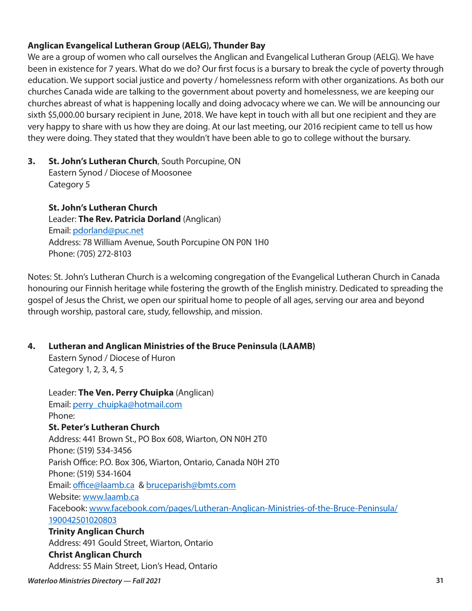# **Anglican Evangelical Lutheran Group (AELG), Thunder Bay**

We are a group of women who call ourselves the Anglican and Evangelical Lutheran Group (AELG). We have been in existence for 7 years. What do we do? Our first focus is a bursary to break the cycle of poverty through education. We support social justice and poverty / homelessness reform with other organizations. As both our churches Canada wide are talking to the government about poverty and homelessness, we are keeping our churches abreast of what is happening locally and doing advocacy where we can. We will be announcing our sixth \$5,000.00 bursary recipient in June, 2018. We have kept in touch with all but one recipient and they are very happy to share with us how they are doing. At our last meeting, our 2016 recipient came to tell us how they were doing. They stated that they wouldn't have been able to go to college without the bursary.

# **3. St. John's Lutheran Church**, South Porcupine, ON Eastern Synod / Diocese of Moosonee Category 5

**St. John's Lutheran Church**  Leader: **The Rev. Patricia Dorland** (Anglican) Email: [pdorland@puc.net](mailto:pdorland@puc.net)  Address: 78 William Avenue, South Porcupine ON P0N 1H0 Phone: (705) 272-8103

Notes: St. John's Lutheran Church is a welcoming congregation of the Evangelical Lutheran Church in Canada honouring our Finnish heritage while fostering the growth of the English ministry. Dedicated to spreading the gospel of Jesus the Christ, we open our spiritual home to people of all ages, serving our area and beyond through worship, pastoral care, study, fellowship, and mission.

# **4. Lutheran and Anglican Ministries of the Bruce Peninsula (LAAMB)**

Eastern Synod / Diocese of Huron Category 1, 2, 3, 4, 5

Leader: **The Ven. Perry Chuipka** (Anglican) Email: [perry\\_chuipka@hotmail.com](mailto:perry_chuipka@hotmail.com) Phone: **St. Peter's Lutheran Church**  Address: 441 Brown St., PO Box 608, Wiarton, ON N0H 2T0 Phone: (519) 534-3456 Parish Office: P.O. Box 306, Wiarton, Ontario, Canada N0H 2T0 Phone: (519) 534-1604 Email: [office@laamb.ca](mailto:office@laamb.ca) & [bruceparish@bmts.com](mailto:bruceparish@bmts.com) Website: [www.laamb.ca](http://www.laamb.ca) Facebook: [www.facebook.com/pages/Lutheran-Anglican-Ministries-of-the-Bruce-Peninsula/](http://www.facebook.com/pages/Lutheran-Anglican-Ministries-of-the-Bruce-Peninsula/190042501020803) [190042501020803](http://www.facebook.com/pages/Lutheran-Anglican-Ministries-of-the-Bruce-Peninsula/190042501020803)  **Trinity Anglican Church**  Address: 491 Gould Street, Wiarton, Ontario **Christ Anglican Church**  Address: 55 Main Street, Lion's Head, Ontario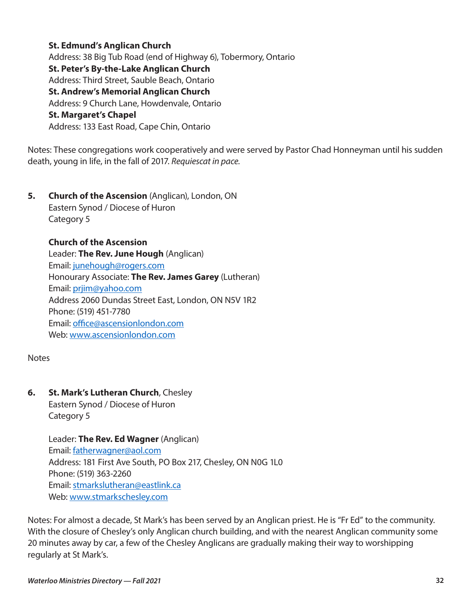#### **St. Edmund's Anglican Church**

Address: 38 Big Tub Road (end of Highway 6), Tobermory, Ontario **St. Peter's By-the-Lake Anglican Church**  Address: Third Street, Sauble Beach, Ontario **St. Andrew's Memorial Anglican Church**  Address: 9 Church Lane, Howdenvale, Ontario **St. Margaret's Chapel**  Address: 133 East Road, Cape Chin, Ontario

Notes: These congregations work cooperatively and were served by Pastor Chad Honneyman until his sudden death, young in life, in the fall of 2017. *Requiescat in pace.* 

**5. Church of the Ascension** (Anglican), London, ON Eastern Synod / Diocese of Huron Category 5

**Church of the Ascension**  Leader: **The Rev. June Hough** (Anglican) Email: [junehough@rogers.com](mailto:junehough@rogers.com)  Honourary Associate: **The Rev. James Garey** (Lutheran) Email: [prjim@yahoo.com](mailto:prjim@yahoo.com) Address 2060 Dundas Street East, London, ON N5V 1R2 Phone: (519) 451-7780 Email: [office@ascensionlondon.com](mailto:office@ascensionlondon.com)  Web: [www.ascensionlondon.com](http://www.ascensionlondon.com)

**Notes** 

**6. St. Mark's Lutheran Church**, Chesley

Eastern Synod / Diocese of Huron Category 5

Leader: **The Rev. Ed Wagner** (Anglican) Email: [fatherwagner@aol.com](mailto:fatherwagner@aol.com) Address: 181 First Ave South, PO Box 217, Chesley, ON N0G 1L0 Phone: (519) 363-2260 Email: [stmarkslutheran@eastlink.ca](mailto:stmarkslutheran@eastlink.ca)  Web: [www.stmarkschesley.com](http://www.stmarkschesley.com) 

Notes: For almost a decade, St Mark's has been served by an Anglican priest. He is "Fr Ed" to the community. With the closure of Chesley's only Anglican church building, and with the nearest Anglican community some 20 minutes away by car, a few of the Chesley Anglicans are gradually making their way to worshipping regularly at St Mark's.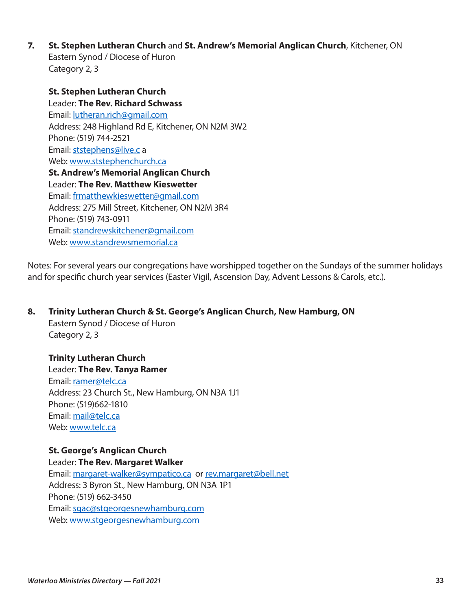**7. St. Stephen Lutheran Church** and **St. Andrew's Memorial Anglican Church**, Kitchener, ON Eastern Synod / Diocese of Huron Category 2, 3

**St. Stephen Lutheran Church**  Leader: **The Rev. Richard Schwass** Email: [lutheran.rich@gmail.com](mailto:lutheran.rich@gmail.com)  Address: 248 Highland Rd E, Kitchener, ON N2M 3W2 Phone: (519) 744-2521 Email: [ststephens@live.c](mailto:ststephens@live.c) a Web: [www.ststephenchurch.ca](http://www.ststephenchurch.ca)  **St. Andrew's Memorial Anglican Church**  Leader: **The Rev. Matthew Kieswetter** Email: [frmatthewkieswetter@gmail.com](mailto:frmatthewkieswetter@gmail.com) Address: 275 Mill Street, Kitchener, ON N2M 3R4 Phone: (519) 743-0911 Email: [standrewskitchener@gmail.com](mailto:standrewskitchener@gmail.com)  Web: [www.standrewsmemorial.ca](http://www.standrewsmemorial.ca) 

Notes: For several years our congregations have worshipped together on the Sundays of the summer holidays and for specific church year services (Easter Vigil, Ascension Day, Advent Lessons & Carols, etc.).

### **8. Trinity Lutheran Church & St. George's Anglican Church, New Hamburg, ON**

Eastern Synod / Diocese of Huron Category 2, 3

#### **Trinity Lutheran Church**

Leader: **The Rev. Tanya Ramer** Email: [ramer@telc.ca](mailto:ramer@telc.ca)  Address: 23 Church St., New Hamburg, ON N3A 1J1 Phone: (519)662-1810 Email: [mail@telc.ca](mailto:mail@telc.ca)  Web: [www.telc.ca](http://www.telc.ca)

# **St. George's Anglican Church**

Leader: **The Rev. Margaret Walker**

Email: [margaret-walker@sympatico.ca](mailto:margaret-walker@sympatico.ca) or [rev.margaret@bell.net](mailto:rev.margaret@bell.net)  Address: 3 Byron St., New Hamburg, ON N3A 1P1 Phone: (519) 662-3450 Email: [sgac@stgeorgesnewhamburg.com](mailto:sgac@stgeorgesnewhamburg.com) Web: [www.stgeorgesnewhamburg.com](http://www.stgeorgesnewhamburg.com)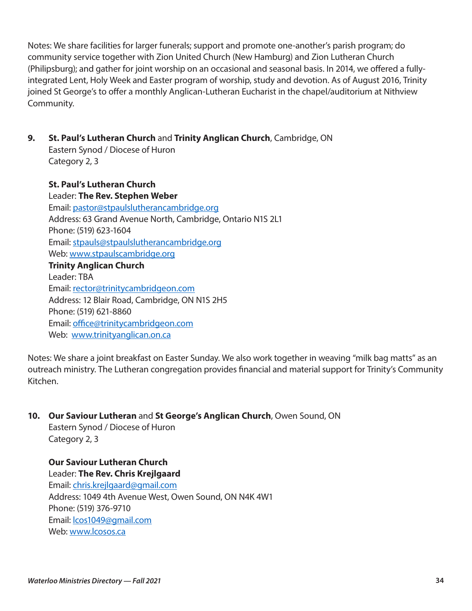Notes: We share facilities for larger funerals; support and promote one-another's parish program; do community service together with Zion United Church (New Hamburg) and Zion Lutheran Church (Philipsburg); and gather for joint worship on an occasional and seasonal basis. In 2014, we offered a fullyintegrated Lent, Holy Week and Easter program of worship, study and devotion. As of August 2016, Trinity joined St George's to offer a monthly Anglican-Lutheran Eucharist in the chapel/auditorium at Nithview Community.

**9. St. Paul's Lutheran Church** and **Trinity Anglican Church**, Cambridge, ON

Eastern Synod / Diocese of Huron Category 2, 3

# **St. Paul's Lutheran Church**

Leader: **The Rev. Stephen Weber** Email: [pastor@stpaulslutherancambridge.org](mailto:pastor@stpaulslutherancambridge.org)  Address: 63 Grand Avenue North, Cambridge, Ontario N1S 2L1 Phone: (519) 623-1604 Email: [stpauls@stpaulslutherancambridge.org](mailto:stpauls@stpaulslutherancambridge.org) Web: [www.stpaulscambridge.org](http://www.stpaulscambridge.org) **Trinity Anglican Church**  Leader: TBA Email: [rector@trinitycambridgeon.com](mailto:rector@trinitycambridgeon.com)  Address: 12 Blair Road, Cambridge, ON N1S 2H5 Phone: (519) 621-8860 Email: [office@trinitycambridgeon.com](mailto:office@trinitycambridgeon.com)  Web: www.trinityanglican.on.ca

Notes: We share a joint breakfast on Easter Sunday. We also work together in weaving "milk bag matts" as an outreach ministry. The Lutheran congregation provides financial and material support for Trinity's Community Kitchen.

# **10. Our Saviour Lutheran** and **St George's Anglican Church**, Owen Sound, ON

Eastern Synod / Diocese of Huron Category 2, 3

### **Our Saviour Lutheran Church**  Leader: **The Rev. Chris Krejlgaard**

Email: [chris.krejlgaard@gmail.com](mailto:chris.krejlgaard@gmail.com)  Address: 1049 4th Avenue West, Owen Sound, ON N4K 4W1 Phone: (519) 376-9710 Email: [lcos1049@gmail.com](mailto:lcos1049@gmail.com)  Web: [www.lcosos.ca](http://www.lcosos.ca)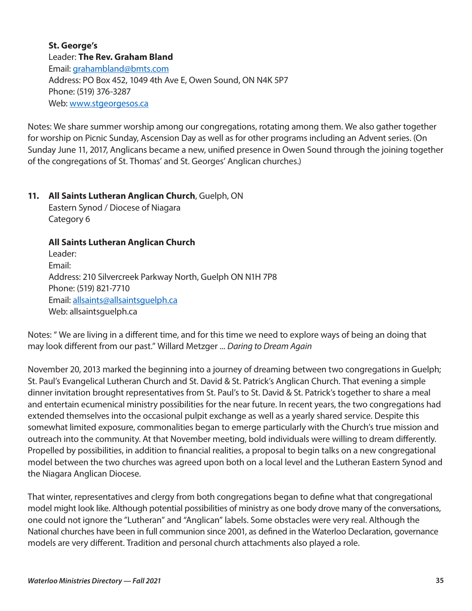**St. George's**  Leader: **The Rev. Graham Bland**  Email: [grahambland@bmts.com](mailto:grahambland@bmts.com) Address: PO Box 452, 1049 4th Ave E, Owen Sound, ON N4K 5P7 Phone: (519) 376-3287 Web: www.stgeorgesos.ca

Notes: We share summer worship among our congregations, rotating among them. We also gather together for worship on Picnic Sunday, Ascension Day as well as for other programs including an Advent series. (On Sunday June 11, 2017, Anglicans became a new, unified presence in Owen Sound through the joining together of the congregations of St. Thomas' and St. Georges' Anglican churches.)

#### **11. All Saints Lutheran Anglican Church**, Guelph, ON

Eastern Synod / Diocese of Niagara Category 6

### **All Saints Lutheran Anglican Church**

Leader: Email: Address: 210 Silvercreek Parkway North, Guelph ON N1H 7P8 Phone: (519) 821-7710 Email: [allsaints@allsaintsguelph.ca](mailto:allsaints@allsaintsguelph.ca) Web: allsaintsguelph.ca

Notes: " We are living in a different time, and for this time we need to explore ways of being an doing that may look different from our past." Willard Metzger ... *Daring to Dream Again* 

November 20, 2013 marked the beginning into a journey of dreaming between two congregations in Guelph; St. Paul's Evangelical Lutheran Church and St. David & St. Patrick's Anglican Church. That evening a simple dinner invitation brought representatives from St. Paul's to St. David & St. Patrick's together to share a meal and entertain ecumenical ministry possibilities for the near future. In recent years, the two congregations had extended themselves into the occasional pulpit exchange as well as a yearly shared service. Despite this somewhat limited exposure, commonalities began to emerge particularly with the Church's true mission and outreach into the community. At that November meeting, bold individuals were willing to dream differently. Propelled by possibilities, in addition to financial realities, a proposal to begin talks on a new congregational model between the two churches was agreed upon both on a local level and the Lutheran Eastern Synod and the Niagara Anglican Diocese.

That winter, representatives and clergy from both congregations began to define what that congregational model might look like. Although potential possibilities of ministry as one body drove many of the conversations, one could not ignore the "Lutheran" and "Anglican" labels. Some obstacles were very real. Although the National churches have been in full communion since 2001, as defined in the Waterloo Declaration, governance models are very different. Tradition and personal church attachments also played a role.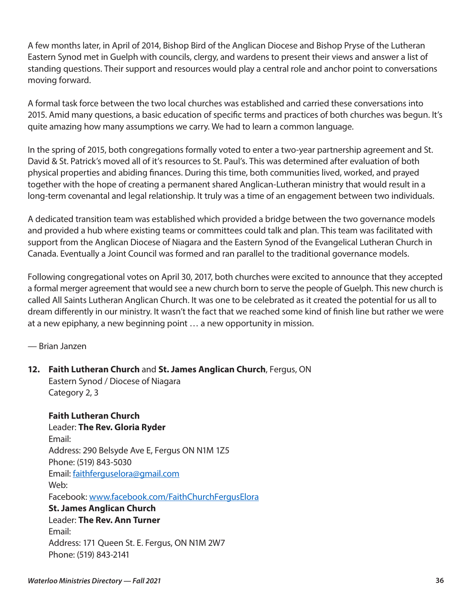A few months later, in April of 2014, Bishop Bird of the Anglican Diocese and Bishop Pryse of the Lutheran Eastern Synod met in Guelph with councils, clergy, and wardens to present their views and answer a list of standing questions. Their support and resources would play a central role and anchor point to conversations moving forward.

A formal task force between the two local churches was established and carried these conversations into 2015. Amid many questions, a basic education of specific terms and practices of both churches was begun. It's quite amazing how many assumptions we carry. We had to learn a common language.

In the spring of 2015, both congregations formally voted to enter a two-year partnership agreement and St. David & St. Patrick's moved all of it's resources to St. Paul's. This was determined after evaluation of both physical properties and abiding finances. During this time, both communities lived, worked, and prayed together with the hope of creating a permanent shared Anglican-Lutheran ministry that would result in a long-term covenantal and legal relationship. It truly was a time of an engagement between two individuals.

A dedicated transition team was established which provided a bridge between the two governance models and provided a hub where existing teams or committees could talk and plan. This team was facilitated with support from the Anglican Diocese of Niagara and the Eastern Synod of the Evangelical Lutheran Church in Canada. Eventually a Joint Council was formed and ran parallel to the traditional governance models.

Following congregational votes on April 30, 2017, both churches were excited to announce that they accepted a formal merger agreement that would see a new church born to serve the people of Guelph. This new church is called All Saints Lutheran Anglican Church. It was one to be celebrated as it created the potential for us all to dream differently in our ministry. It wasn't the fact that we reached some kind of finish line but rather we were at a new epiphany, a new beginning point … a new opportunity in mission.

— Brian Janzen

**12. Faith Lutheran Church** and **St. James Anglican Church**, Fergus, ON Eastern Synod / Diocese of Niagara Category 2, 3

**Faith Lutheran Church**  Leader: **The Rev. Gloria Ryder**  Email: Address: 290 Belsyde Ave E, Fergus ON N1M 1Z5 Phone: (519) 843-5030 Email: [faithferguselora@gmail.com](mailto:faithferguselora@gmail.com)  Web: Facebook: [www.facebook.com/FaithChurchFergusElora](http://www.facebook.com/FaithChurchFergusElora)  **St. James Anglican Church**  Leader: **The Rev. Ann Turner** Email: Address: 171 Queen St. E. Fergus, ON N1M 2W7 Phone: (519) 843-2141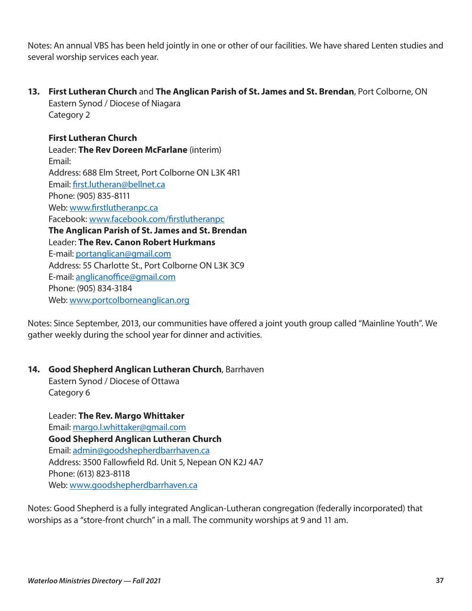Notes: An annual VBS has been held jointly in one or other of our facilities. We have shared Lenten studies and several worship services each year.

**13. First Lutheran Church** and **The Anglican Parish of St. James and St. Brendan**, Port Colborne, ON Eastern Synod / Diocese of Niagara

Category 2

# **First Lutheran Church**

Leader: **The Rev Doreen McFarlane** (interim) Email: Address: 688 Elm Street, Port Colborne ON L3K 4R1 Email: [first.lutheran@bellnet.ca](mailto:first.lutheran@bellnet.ca) Phone: (905) 835-8111 Web: [www.firstlutheranpc.ca](http://www.firstlutheranpc.ca) Facebook: [www.facebook.com/firstlutheranpc](http://www.facebook.com/firstlutheranpc) **The Anglican Parish of St. James and St. Brendan**  Leader: **The Rev. Canon Robert Hurkmans** E-mail: [portanglican@gmail.com](mailto:portanglican@gmail.com) Address: 55 Charlotte St., Port Colborne ON L3K 3C9 E-mail: [anglicanoffice@gmail.com](mailto:anglicanoffice@gmail.com)  Phone: (905) 834-3184 Web: [www.portcolborneanglican.org](http://www.portcolborneanglican.org) 

Notes: Since September, 2013, our communities have offered a joint youth group called "Mainline Youth". We gather weekly during the school year for dinner and activities.

### **14. Good Shepherd Anglican Lutheran Church**, Barrhaven

Eastern Synod / Diocese of Ottawa Category 6

Leader: **The Rev. Margo Whittaker** Email: margo.l.whittaker@gmail.com **Good Shepherd Anglican Lutheran Church**  Email: [admin@goodshepherdbarrhaven.ca](mailto:admin@goodshepherdbarrhaven.ca) Address: 3500 Fallowfield Rd. Unit 5, Nepean ON K2J 4A7 Phone: (613) 823-8118 Web: [www.goodshepherdbarrhaven.ca](http://www.goodshepherdbarrhaven.ca)

Notes: Good Shepherd is a fully integrated Anglican-Lutheran congregation (federally incorporated) that worships as a "store-front church" in a mall. The community worships at 9 and 11 am.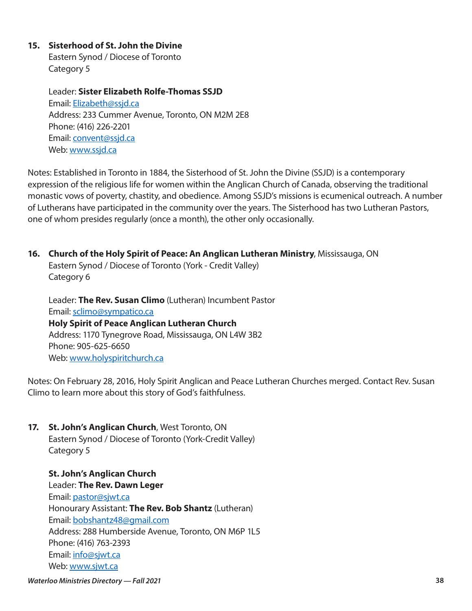### **15. Sisterhood of St. John the Divine**

Eastern Synod / Diocese of Toronto Category 5

Leader: **Sister Elizabeth Rolfe-Thomas SSJD** Email: [Elizabeth@ssjd.ca](mailto:Elizabeth@ssjd.ca)  Address: 233 Cummer Avenue, Toronto, ON M2M 2E8 Phone: (416) 226-2201 Email: [convent@ssjd.ca](mailto:convent@ssjd.ca) Web: [www.ssjd.ca](http://www.ssjd.ca) 

Notes: Established in Toronto in 1884, the Sisterhood of St. John the Divine (SSJD) is a contemporary expression of the religious life for women within the Anglican Church of Canada, observing the traditional monastic vows of poverty, chastity, and obedience. Among SSJD's missions is ecumenical outreach. A number of Lutherans have participated in the community over the years. The Sisterhood has two Lutheran Pastors, one of whom presides regularly (once a month), the other only occasionally.

**16. Church of the Holy Spirit of Peace: An Anglican Lutheran Ministry**, Mississauga, ON Eastern Synod / Diocese of Toronto (York - Credit Valley) Category 6

Leader: **The Rev. Susan Climo** (Lutheran) Incumbent Pastor Email: [sclimo@sympatico.ca](mailto:sclimo@sympatico.ca) **Holy Spirit of Peace Anglican Lutheran Church** Address: 1170 Tynegrove Road, Mississauga, ON L4W 3B2 Phone: 905-625-6650 Web: [www.holyspiritchurch.ca](http://www.holyspiritchurch.ca)

Notes: On February 28, 2016, Holy Spirit Anglican and Peace Lutheran Churches merged. Contact Rev. Susan Climo to learn more about this story of God's faithfulness.

**17. St. John's Anglican Church**, West Toronto, ON Eastern Synod / Diocese of Toronto (York-Credit Valley) Category 5

**St. John's Anglican Church**  Leader: **The Rev. Dawn Leger**  Email: [pastor@sjwt.ca](mailto:pastor@sjwt.ca) Honourary Assistant: **The Rev. Bob Shantz** (Lutheran) Email: [bobshantz48@gmail.com](mailto:bobshantz48@gmail.com)  Address: 288 Humberside Avenue, Toronto, ON M6P 1L5 Phone: (416) 763-2393 Email: [info@sjwt.ca](mailto:info@sjwt.ca) Web: [www.sjwt.ca](http://www.sjwt.ca)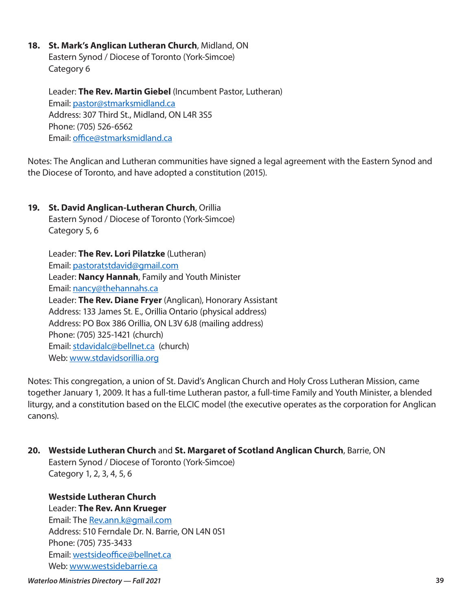#### **18. St. Mark's Anglican Lutheran Church**, Midland, ON

Eastern Synod / Diocese of Toronto (York-Simcoe) Category 6

Leader: **The Rev. Martin Giebel** (Incumbent Pastor, Lutheran) Email: [pastor@stmarksmidland.ca](mailto:pastor@stmarksmidland.ca) Address: 307 Third St., Midland, ON L4R 3S5 Phone: (705) 526-6562 Email: [office@stmarksmidland.ca](mailto:office@stmarksmidland.ca) 

Notes: The Anglican and Lutheran communities have signed a legal agreement with the Eastern Synod and the Diocese of Toronto, and have adopted a constitution (2015).

# **19. St. David Anglican-Lutheran Church**, Orillia

Eastern Synod / Diocese of Toronto (York-Simcoe) Category 5, 6

Leader: **The Rev. Lori Pilatzke** (Lutheran) Email: [pastoratstdavid@gmail.com](mailto:pastoratstdavid@gmail.com)  Leader: **Nancy Hannah**, Family and Youth Minister Email: [nancy@thehannahs.ca](mailto:nancy@thehannahs.ca) Leader: **The Rev. Diane Fryer** (Anglican), Honorary Assistant Address: 133 James St. E., Orillia Ontario (physical address) Address: PO Box 386 Orillia, ON L3V 6J8 (mailing address) Phone: (705) 325-1421 (church) Email: [stdavidalc@bellnet.ca](mailto:stdavidalc@bellnet.ca) (church) Web: [www.stdavidsorillia.org](http://www.stdavidsorillia.org)

Notes: This congregation, a union of St. David's Anglican Church and Holy Cross Lutheran Mission, came together January 1, 2009. It has a full-time Lutheran pastor, a full-time Family and Youth Minister, a blended liturgy, and a constitution based on the ELCIC model (the executive operates as the corporation for Anglican canons).

### **20. Westside Lutheran Church** and **St. Margaret of Scotland Anglican Church**, Barrie, ON Eastern Synod / Diocese of Toronto (York-Simcoe) Category 1, 2, 3, 4, 5, 6

**Westside Lutheran Church**  Leader: **The Rev. Ann Krueger** Email: The [Rev.ann.k@gmail.com](mailto:Rev.ann.k@gmail.com)  Address: 510 Ferndale Dr. N. Barrie, ON L4N 0S1 Phone: (705) 735-3433 Email: [westsideoffice@bellnet.ca](mailto:westsideoffice@bellnet.ca) Web: [www.westsidebarrie.ca](http://www.westsidebarrie.ca)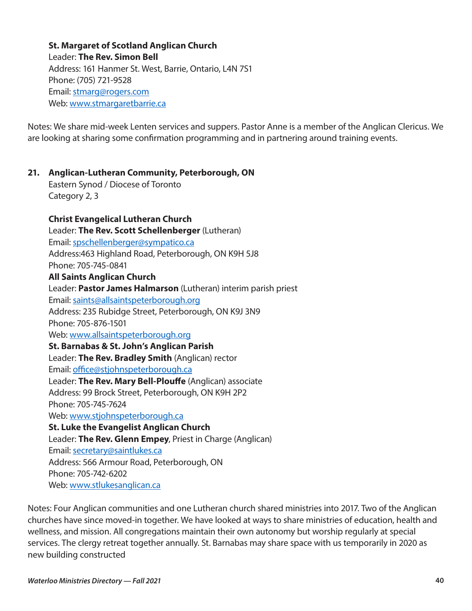**St. Margaret of Scotland Anglican Church**  Leader: **The Rev. Simon Bell** Address: 161 Hanmer St. West, Barrie, Ontario, L4N 7S1 Phone: (705) 721-9528 Email: [stmarg@rogers.com](mailto:stmarg@rogers.com)  Web: [www.stmargaretbarrie.ca](http://www.stmargaretbarrie.ca)

Notes: We share mid-week Lenten services and suppers. Pastor Anne is a member of the Anglican Clericus. We are looking at sharing some confirmation programming and in partnering around training events.

# **21. Anglican-Lutheran Community, Peterborough, ON**

Eastern Synod / Diocese of Toronto Category 2, 3

#### **Christ Evangelical Lutheran Church**  Leader: **The Rev. Scott Schellenberger** (Lutheran)

Email: [spschellenberger@sympatico.ca](mailto:spschellenberger@sympatico.ca) Address:463 Highland Road, Peterborough, ON K9H 5J8 Phone: 705-745-0841 **All Saints Anglican Church**  Leader: **Pastor James Halmarson** (Lutheran) interim parish priest Email: [saints@allsaintspeterborough.org](mailto:saints@allsaintspeterborough.org)  Address: 235 Rubidge Street, Peterborough, ON K9J 3N9 Phone: 705-876-1501 Web: [www.allsaintspeterborough.org](http://www.allsaintspeterborough.org)  **St. Barnabas & St. John's Anglican Parish**  Leader: **The Rev. Bradley Smith** (Anglican) rector Email: [office@stjohnspeterborough.ca](mailto:office@stjohnspeterborough.ca) Leader: **The Rev. Mary Bell-Plouffe** (Anglican) associate Address: 99 Brock Street, Peterborough, ON K9H 2P2 Phone: 705-745-7624 Web: [www.stjohnspeterborough.ca](http://www.stjohnspeterborough.ca) **St. Luke the Evangelist Anglican Church**  Leader: **The Rev. Glenn Empey**, Priest in Charge (Anglican) Email: [secretary@saintlukes.ca](mailto:secretary@saintlukes.ca)

Address: 566 Armour Road, Peterborough, ON

Phone: 705-742-6202

Web: [www.stlukesanglican.ca](http://www.stlukesanglican.ca) 

Notes: Four Anglican communities and one Lutheran church shared ministries into 2017. Two of the Anglican churches have since moved-in together. We have looked at ways to share ministries of education, health and wellness, and mission. All congregations maintain their own autonomy but worship regularly at special services. The clergy retreat together annually. St. Barnabas may share space with us temporarily in 2020 as new building constructed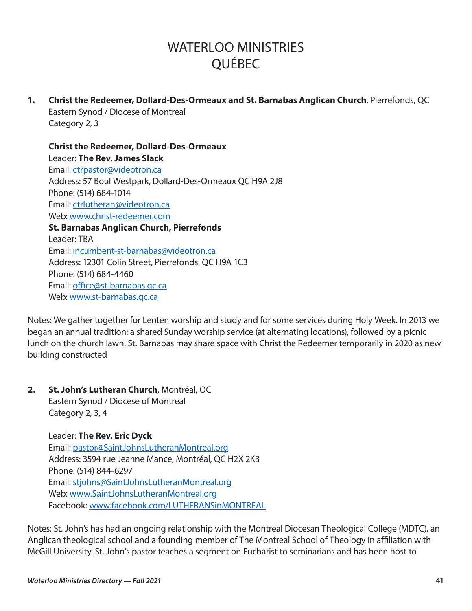# WATERI OO MINISTRIES QUÉBEC

**1. Christ the Redeemer, Dollard-Des-Ormeaux and St. Barnabas Anglican Church**, Pierrefonds, QC Eastern Synod / Diocese of Montreal Category 2, 3

**Christ the Redeemer, Dollard-Des-Ormeaux**  Leader: **The Rev. James Slack** Email: [ctrpastor@videotron.ca](mailto:ctrpastor@videotron.ca)  Address: 57 Boul Westpark, Dollard-Des-Ormeaux QC H9A 2J8 Phone: (514) 684-1014 Email: [ctrlutheran@videotron.ca](mailto:ctrlutheran@videotron.ca) Web: [www.christ-redeemer.com](http://www.christ-redeemer.com) **St. Barnabas Anglican Church, Pierrefonds**  Leader: TBA Email: [incumbent-st-barnabas@videotron.ca](mailto:incumbent-st-barnabas@videotron.ca) Address: 12301 Colin Street, Pierrefonds, QC H9A 1C3 Phone: (514) 684-4460 Email: [office@st-barnabas.qc.ca](mailto:office@st-barnabas.qc.ca) Web: [www.st-barnabas.qc.ca](http://www.st-barnabas.qc.ca)

Notes: We gather together for Lenten worship and study and for some services during Holy Week. In 2013 we began an annual tradition: a shared Sunday worship service (at alternating locations), followed by a picnic lunch on the church lawn. St. Barnabas may share space with Christ the Redeemer temporarily in 2020 as new building constructed

**2. St. John's Lutheran Church**, Montréal, QC Eastern Synod / Diocese of Montreal Category 2, 3, 4

> Leader: **The Rev. Eric Dyck** Email: [pastor@SaintJohnsLutheranMontreal.org](mailto:pastor@SaintJohnsLutheranMontreal.org) Address: 3594 rue Jeanne Mance, Montréal, QC H2X 2K3 Phone: (514) 844-6297 Email: [stjohns@SaintJohnsLutheranMontreal.org](mailto:stjohns@SaintJohnsLutheranMontreal.org)  Web: [www.SaintJohnsLutheranMontreal.org](http://www.SaintJohnsLutheranMontreal.org) Facebook: [www.facebook.com/LUTHERANSinMONTREAL](http://www.facebook.com/LUTHERANSinMONTREAL)

Notes: St. John's has had an ongoing relationship with the Montreal Diocesan Theological College (MDTC), an Anglican theological school and a founding member of The Montreal School of Theology in affiliation with McGill University. St. John's pastor teaches a segment on Eucharist to seminarians and has been host to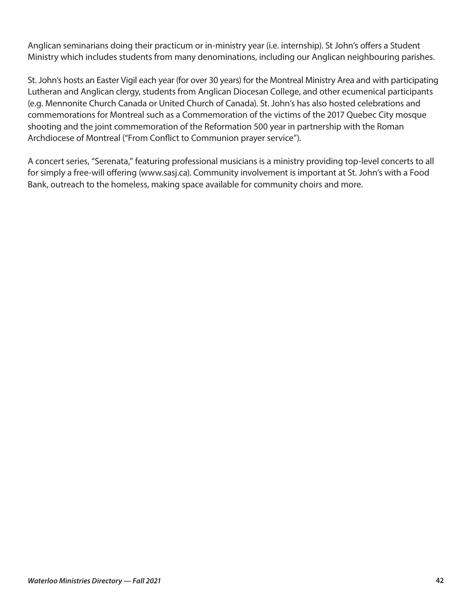Anglican seminarians doing their practicum or in-ministry year (i.e. internship). St John's offers a Student Ministry which includes students from many denominations, including our Anglican neighbouring parishes.

St. John's hosts an Easter Vigil each year (for over 30 years) for the Montreal Ministry Area and with participating Lutheran and Anglican clergy, students from Anglican Diocesan College, and other ecumenical participants (e.g. Mennonite Church Canada or United Church of Canada). St. John's has also hosted celebrations and commemorations for Montreal such as a Commemoration of the victims of the 2017 Quebec City mosque shooting and the joint commemoration of the Reformation 500 year in partnership with the Roman Archdiocese of Montreal ("From Conflict to Communion prayer service").

A concert series, "Serenata," featuring professional musicians is a ministry providing top-level concerts to all for simply a free-will offering (www.sasj.ca). Community involvement is important at St. John's with a Food Bank, outreach to the homeless, making space available for community choirs and more.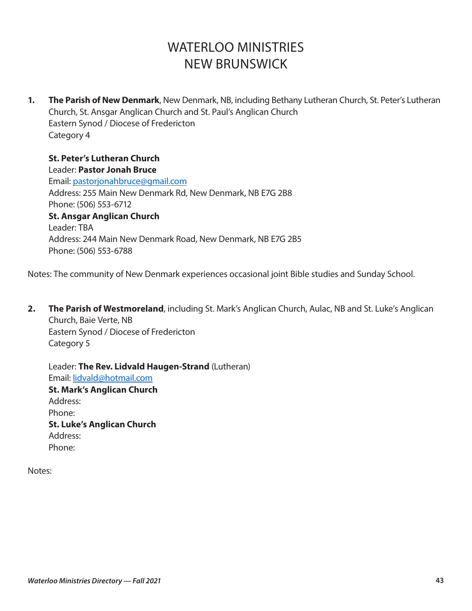# WATERLOO MINISTRIES NEW BRUNSWICK

**1. The Parish of New Denmark**, New Denmark, NB, including Bethany Lutheran Church, St. Peter's Lutheran Church, St. Ansgar Anglican Church and St. Paul's Anglican Church Eastern Synod / Diocese of Fredericton Category 4

**St. Peter's Lutheran Church**  Leader: **Pastor Jonah Bruce** Email: pastorjonahbruce@gmail.com Address: 255 Main New Denmark Rd, New Denmark, NB E7G 2B8 Phone: (506) 553-6712 **St. Ansgar Anglican Church**  Leader: TBA Address: 244 Main New Denmark Road, New Denmark, NB E7G 2B5 Phone: (506) 553-6788

Notes: The community of New Denmark experiences occasional joint Bible studies and Sunday School.

**2. The Parish of Westmoreland**, including St. Mark's Anglican Church, Aulac, NB and St. Luke's Anglican Church, Baie Verte, NB Eastern Synod / Diocese of Fredericton Category 5

Leader: **The Rev. Lidvald Haugen-Strand** (Lutheran) Email: [lidvald@hotmail.com](mailto:lidvald@hotmail.com) **St. Mark's Anglican Church**  Address: Phone: **St. Luke's Anglican Church**  Address: Phone:

Notes: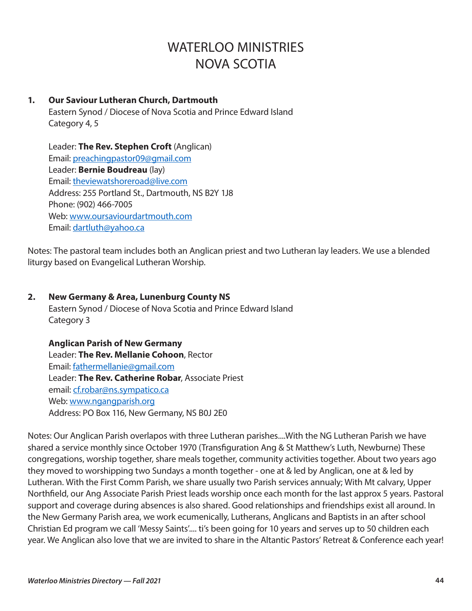# WATERI OO MINISTRIES NOVA SCOTIA

# **1. Our Saviour Lutheran Church, Dartmouth**

Eastern Synod / Diocese of Nova Scotia and Prince Edward Island Category 4, 5

Leader: **The Rev. Stephen Croft** (Anglican) Email: [preachingpastor09@gmail.com](mailto:preachingpastor09@gmail.com) Leader: **Bernie Boudreau** (lay) Email: [theviewatshoreroad@live.com](mailto:theviewatshoreroad@live.com) Address: 255 Portland St., Dartmouth, NS B2Y 1J8 Phone: (902) 466-7005 Web: [www.oursaviourdartmouth.com](http://www.oursaviourdartmouth.com) Email: [dartluth@yahoo.ca](mailto:dartluth@yahoo.ca) 

Notes: The pastoral team includes both an Anglican priest and two Lutheran lay leaders. We use a blended liturgy based on Evangelical Lutheran Worship.

# **2. New Germany & Area, Lunenburg County NS**

Eastern Synod / Diocese of Nova Scotia and Prince Edward Island Category 3

### **Anglican Parish of New Germany**

Leader: **The Rev. Mellanie Cohoon**, Rector Email: [fathermellanie@gmail.com](mailto:fathermellanie@gmail.com)  Leader: **The Rev. Catherine Robar**, Associate Priest email: [cf.robar@ns.sympatico.ca](mailto:cf.robar@ns.sympatico.ca) Web: [www.ngangparish.org](http://www.ngangparish.org)  Address: PO Box 116, New Germany, NS B0J 2E0

Notes: Our Anglican Parish overlapos with three Lutheran parishes....With the NG Lutheran Parish we have shared a service monthly since October 1970 (Transfiguration Ang & St Matthew's Luth, Newburne) These congregations, worship together, share meals together, community activities together. About two years ago they moved to worshipping two Sundays a month together - one at & led by Anglican, one at & led by Lutheran. With the First Comm Parish, we share usually two Parish services annualy; With Mt calvary, Upper Northfield, our Ang Associate Parish Priest leads worship once each month for the last approx 5 years. Pastoral support and coverage during absences is also shared. Good relationships and friendships exist all around. In the New Germany Parish area, we work ecumenically, Lutherans, Anglicans and Baptists in an after school Christian Ed program we call 'Messy Saints'.... ti's been going for 10 years and serves up to 50 children each year. We Anglican also love that we are invited to share in the Altantic Pastors' Retreat & Conference each year!